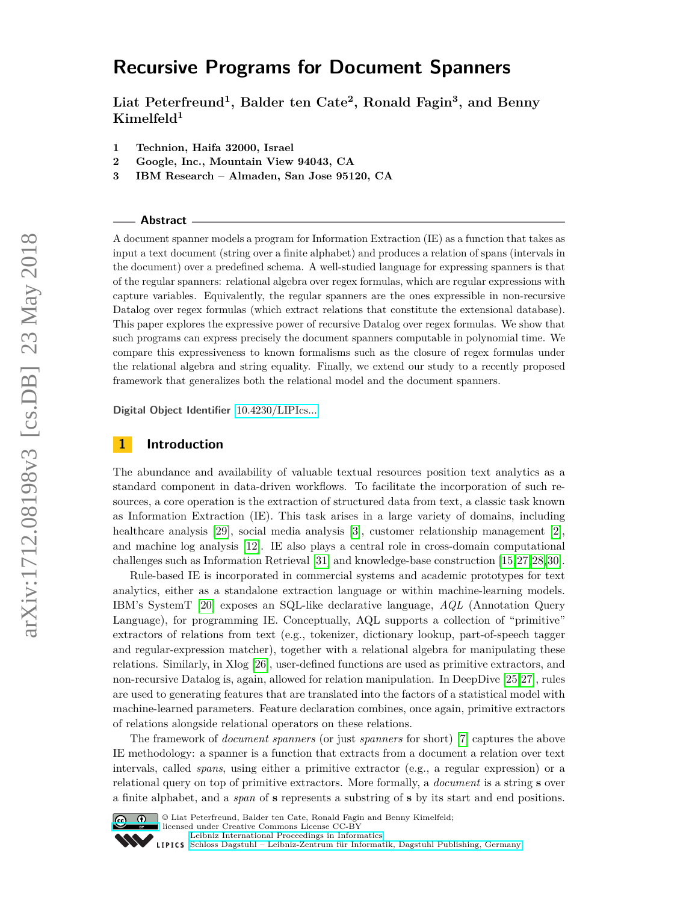# **Recursive Programs for Document Spanners**

**Liat Peterfreund<sup>1</sup> , Balder ten Cate<sup>2</sup> , Ronald Fagin<sup>3</sup> , and Benny Kimelfeld<sup>1</sup>**

- **1 Technion, Haifa 32000, Israel**
- **2 Google, Inc., Mountain View 94043, CA**
- **3 IBM Research Almaden, San Jose 95120, CA**

#### **Abstract**

A document spanner models a program for Information Extraction (IE) as a function that takes as input a text document (string over a finite alphabet) and produces a relation of spans (intervals in the document) over a predefined schema. A well-studied language for expressing spanners is that of the regular spanners: relational algebra over regex formulas, which are regular expressions with capture variables. Equivalently, the regular spanners are the ones expressible in non-recursive Datalog over regex formulas (which extract relations that constitute the extensional database). This paper explores the expressive power of recursive Datalog over regex formulas. We show that such programs can express precisely the document spanners computable in polynomial time. We compare this expressiveness to known formalisms such as the closure of regex formulas under the relational algebra and string equality. Finally, we extend our study to a recently proposed framework that generalizes both the relational model and the document spanners.

**Digital Object Identifier** [10.4230/LIPIcs...](http://dx.doi.org/10.4230/LIPIcs...)

#### **1 Introduction**

The abundance and availability of valuable textual resources position text analytics as a standard component in data-driven workflows. To facilitate the incorporation of such resources, a core operation is the extraction of structured data from text, a classic task known as Information Extraction (IE). This task arises in a large variety of domains, including healthcare analysis [\[29\]](#page-16-0), social media analysis [\[3\]](#page-15-0), customer relationship management [\[2\]](#page-15-1), and machine log analysis [\[12\]](#page-15-2). IE also plays a central role in cross-domain computational challenges such as Information Retrieval [\[31\]](#page-16-1) and knowledge-base construction [\[15,](#page-15-3)[27,](#page-16-2)[28,](#page-16-3)[30\]](#page-16-4).

Rule-based IE is incorporated in commercial systems and academic prototypes for text analytics, either as a standalone extraction language or within machine-learning models. IBM's SystemT [\[20\]](#page-15-4) exposes an SQL-like declarative language, *AQL* (Annotation Query Language), for programming IE. Conceptually, AQL supports a collection of "primitive" extractors of relations from text (e.g., tokenizer, dictionary lookup, part-of-speech tagger and regular-expression matcher), together with a relational algebra for manipulating these relations. Similarly, in Xlog [\[26\]](#page-16-5), user-defined functions are used as primitive extractors, and non-recursive Datalog is, again, allowed for relation manipulation. In DeepDive [\[25,](#page-16-6)[27\]](#page-16-2), rules are used to generating features that are translated into the factors of a statistical model with machine-learned parameters. Feature declaration combines, once again, primitive extractors of relations alongside relational operators on these relations.

The framework of *document spanners* (or just *spanners* for short) [\[7\]](#page-15-5) captures the above IE methodology: a spanner is a function that extracts from a document a relation over text intervals, called *spans*, using either a primitive extractor (e.g., a regular expression) or a relational query on top of primitive extractors. More formally, a *document* is a string **s** over a finite alphabet, and a *span* of **s** represents a substring of **s** by its start and end positions.



© Liat Peterfreund, Balder ten Cate, Ronald Fagin and Benny Kimelfeld; licensed under Creative Commons License CC-BY

[Leibniz International Proceedings in Informatics](http://www.dagstuhl.de/lipics/)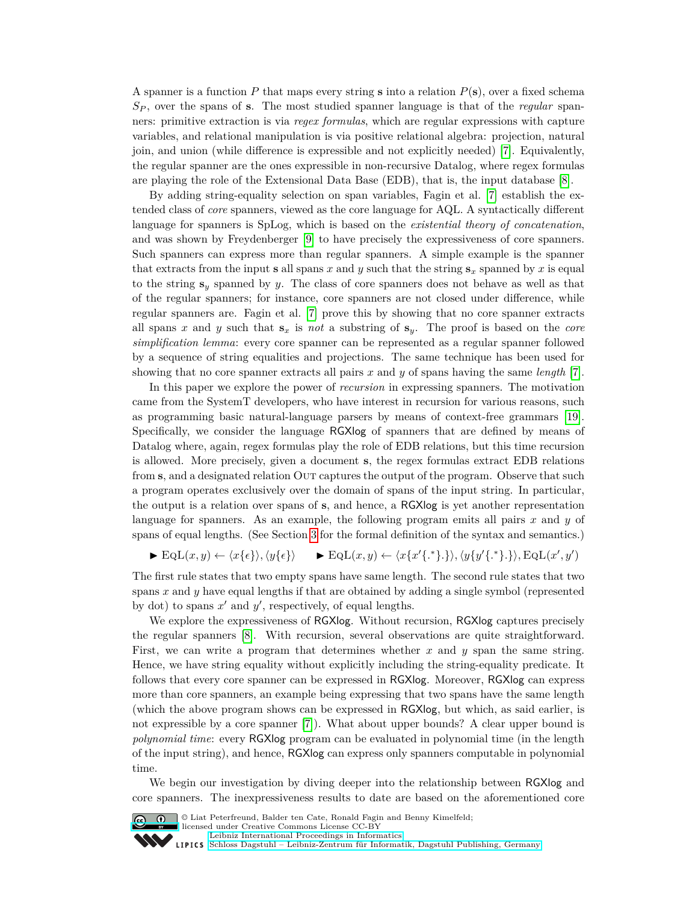A spanner is a function *P* that maps every string **s** into a relation *P*(**s**), over a fixed schema *S<sup>P</sup>* , over the spans of **s**. The most studied spanner language is that of the *regular* spanners: primitive extraction is via *regex formulas*, which are regular expressions with capture variables, and relational manipulation is via positive relational algebra: projection, natural join, and union (while difference is expressible and not explicitly needed) [\[7\]](#page-15-5). Equivalently, the regular spanner are the ones expressible in non-recursive Datalog, where regex formulas are playing the role of the Extensional Data Base (EDB), that is, the input database [\[8\]](#page-15-6).

By adding string-equality selection on span variables, Fagin et al. [\[7\]](#page-15-5) establish the extended class of *core* spanners, viewed as the core language for AQL. A syntactically different language for spanners is SpLog, which is based on the *existential theory of concatenation*, and was shown by Freydenberger [\[9\]](#page-15-7) to have precisely the expressiveness of core spanners. Such spanners can express more than regular spanners. A simple example is the spanner that extracts from the input **s** all spans *x* and *y* such that the string  $\mathbf{s}_x$  spanned by *x* is equal to the string **s***<sup>y</sup>* spanned by *y*. The class of core spanners does not behave as well as that of the regular spanners; for instance, core spanners are not closed under difference, while regular spanners are. Fagin et al. [\[7\]](#page-15-5) prove this by showing that no core spanner extracts all spans *x* and *y* such that **s***<sup>x</sup>* is *not* a substring of **s***y*. The proof is based on the *core simplification lemma*: every core spanner can be represented as a regular spanner followed by a sequence of string equalities and projections. The same technique has been used for showing that no core spanner extracts all pairs *x* and *y* of spans having the same *length* [\[7\]](#page-15-5).

In this paper we explore the power of *recursion* in expressing spanners. The motivation came from the SystemT developers, who have interest in recursion for various reasons, such as programming basic natural-language parsers by means of context-free grammars [\[19\]](#page-15-8). Specifically, we consider the language RGXlog of spanners that are defined by means of Datalog where, again, regex formulas play the role of EDB relations, but this time recursion is allowed. More precisely, given a document **s**, the regex formulas extract EDB relations from **s**, and a designated relation OUT captures the output of the program. Observe that such a program operates exclusively over the domain of spans of the input string. In particular, the output is a relation over spans of **s**, and hence, a RGXlog is yet another representation language for spanners. As an example, the following program emits all pairs *x* and *y* of spans of equal lengths. (See Section [3](#page-6-0) for the formal definition of the syntax and semantics.)

$$
\blacktriangleright \text{EqL}(x, y) \leftarrow \langle x \{ \epsilon \} \rangle, \langle y \{ \epsilon \} \rangle \qquad \blacktriangleright \text{EqL}(x, y) \leftarrow \langle x \{ x' \{ \cdot^* \} \cdot \} \rangle, \langle y \{ y' \{ \cdot^* \} \cdot \} \rangle, \text{EqL}(x', y')
$$

The first rule states that two empty spans have same length. The second rule states that two spans *x* and *y* have equal lengths if that are obtained by adding a single symbol (represented by dot) to spans  $x'$  and  $y'$ , respectively, of equal lengths.

We explore the expressiveness of RGXlog. Without recursion, RGXlog captures precisely the regular spanners [\[8\]](#page-15-6). With recursion, several observations are quite straightforward. First, we can write a program that determines whether x and y span the same string. Hence, we have string equality without explicitly including the string-equality predicate. It follows that every core spanner can be expressed in RGXlog. Moreover, RGXlog can express more than core spanners, an example being expressing that two spans have the same length (which the above program shows can be expressed in RGXlog, but which, as said earlier, is not expressible by a core spanner [\[7\]](#page-15-5)). What about upper bounds? A clear upper bound is *polynomial time*: every RGXlog program can be evaluated in polynomial time (in the length of the input string), and hence, RGXlog can express only spanners computable in polynomial time.

We begin our investigation by diving deeper into the relationship between RGXlog and core spanners. The inexpressiveness results to date are based on the aforementioned core



© Liat Peterfreund, Balder ten Cate, Ronald Fagin and Benny Kimelfeld;

licensed under Creative Commons License CC-BY



[Leibniz International Proceedings in Informatics](http://www.dagstuhl.de/lipics/) [Schloss Dagstuhl – Leibniz-Zentrum für Informatik, Dagstuhl Publishing, Germany](http://www.dagstuhl.de)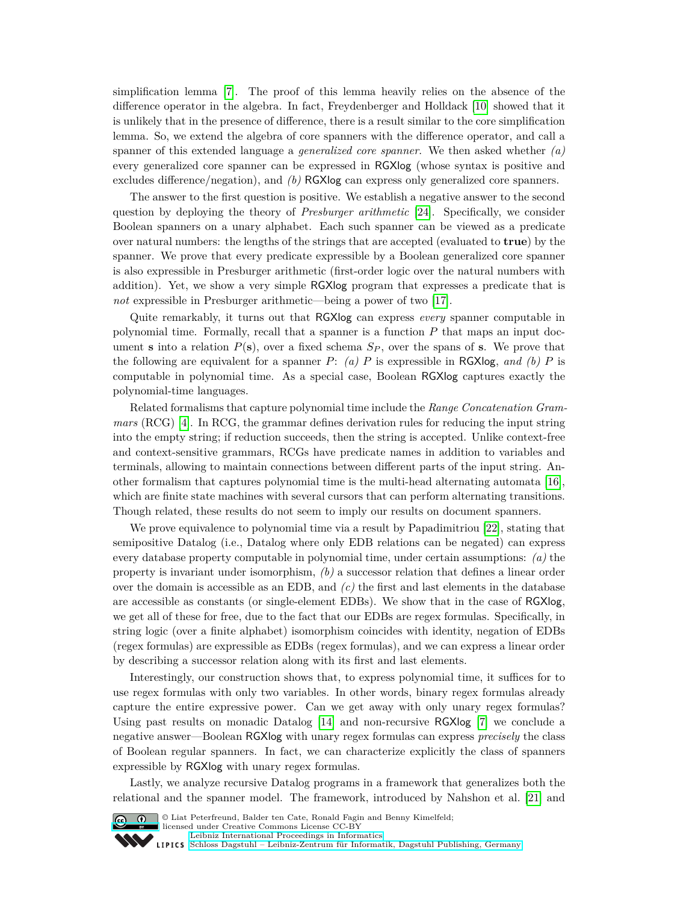simplification lemma [\[7\]](#page-15-5). The proof of this lemma heavily relies on the absence of the difference operator in the algebra. In fact, Freydenberger and Holldack [\[10\]](#page-15-9) showed that it is unlikely that in the presence of difference, there is a result similar to the core simplification lemma. So, we extend the algebra of core spanners with the difference operator, and call a spanner of this extended language a *generalized core spanner*. We then asked whether *(a)* every generalized core spanner can be expressed in RGXlog (whose syntax is positive and excludes difference/negation), and *(b)* RGXlog can express only generalized core spanners.

The answer to the first question is positive. We establish a negative answer to the second question by deploying the theory of *Presburger arithmetic* [\[24\]](#page-16-7). Specifically, we consider Boolean spanners on a unary alphabet. Each such spanner can be viewed as a predicate over natural numbers: the lengths of the strings that are accepted (evaluated to **true**) by the spanner. We prove that every predicate expressible by a Boolean generalized core spanner is also expressible in Presburger arithmetic (first-order logic over the natural numbers with addition). Yet, we show a very simple RGXlog program that expresses a predicate that is *not* expressible in Presburger arithmetic—being a power of two [\[17\]](#page-15-10).

Quite remarkably, it turns out that RGXlog can express *every* spanner computable in polynomial time. Formally, recall that a spanner is a function *P* that maps an input document **s** into a relation  $P(\mathbf{s})$ , over a fixed schema  $S_P$ , over the spans of **s**. We prove that the following are equivalent for a spanner  $P: (a)$   $P$  is expressible in RGXlog, and (b)  $P$  is computable in polynomial time. As a special case, Boolean RGXlog captures exactly the polynomial-time languages.

Related formalisms that capture polynomial time include the *Range Concatenation Grammars* (RCG) [\[4\]](#page-15-11). In RCG, the grammar defines derivation rules for reducing the input string into the empty string; if reduction succeeds, then the string is accepted. Unlike context-free and context-sensitive grammars, RCGs have predicate names in addition to variables and terminals, allowing to maintain connections between different parts of the input string. Another formalism that captures polynomial time is the multi-head alternating automata [\[16\]](#page-15-12), which are finite state machines with several cursors that can perform alternating transitions. Though related, these results do not seem to imply our results on document spanners.

We prove equivalence to polynomial time via a result by Papadimitriou [\[22\]](#page-15-13), stating that semipositive Datalog (i.e., Datalog where only EDB relations can be negated) can express every database property computable in polynomial time, under certain assumptions: *(a)* the property is invariant under isomorphism, *(b)* a successor relation that defines a linear order over the domain is accessible as an EDB, and *(c)* the first and last elements in the database are accessible as constants (or single-element EDBs). We show that in the case of RGXlog, we get all of these for free, due to the fact that our EDBs are regex formulas. Specifically, in string logic (over a finite alphabet) isomorphism coincides with identity, negation of EDBs (regex formulas) are expressible as EDBs (regex formulas), and we can express a linear order by describing a successor relation along with its first and last elements.

Interestingly, our construction shows that, to express polynomial time, it suffices for to use regex formulas with only two variables. In other words, binary regex formulas already capture the entire expressive power. Can we get away with only unary regex formulas? Using past results on monadic Datalog [\[14\]](#page-15-14) and non-recursive RGXlog [\[7\]](#page-15-5) we conclude a negative answer—Boolean RGXlog with unary regex formulas can express *precisely* the class of Boolean regular spanners. In fact, we can characterize explicitly the class of spanners expressible by RGXlog with unary regex formulas.

Lastly, we analyze recursive Datalog programs in a framework that generalizes both the relational and the spanner model. The framework, introduced by Nahshon et al. [\[21\]](#page-15-15) and



© Liat Peterfreund, Balder ten Cate, Ronald Fagin and Benny Kimelfeld; licensed under Creative Commons License CC-BY [Leibniz International Proceedings in Informatics](http://www.dagstuhl.de/lipics/) [Schloss Dagstuhl – Leibniz-Zentrum für Informatik, Dagstuhl Publishing, Germany](http://www.dagstuhl.de)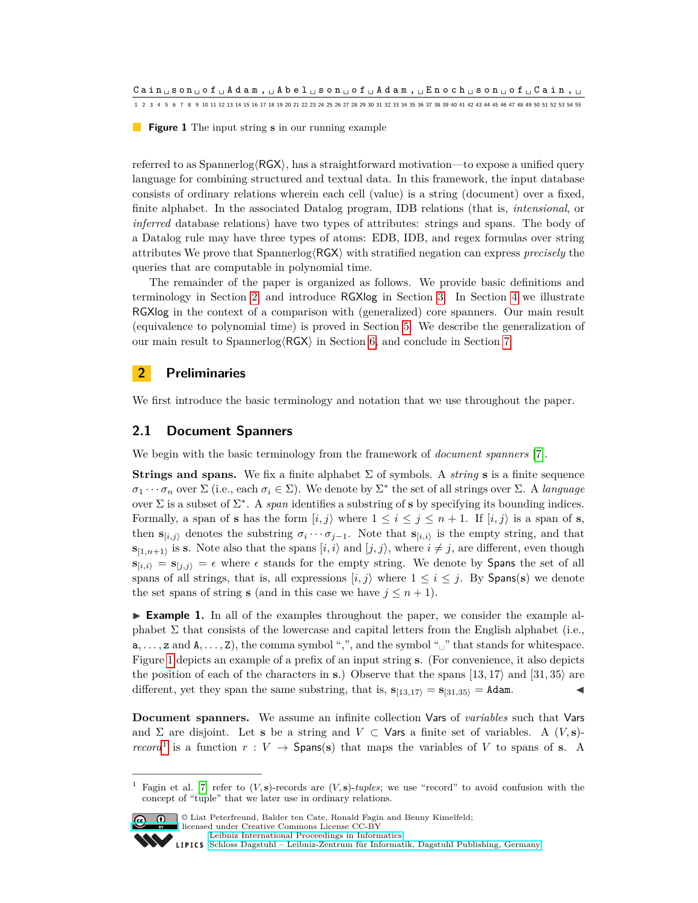<span id="page-3-1"></span>**Figure 1** The input string **s** in our running example

referred to as Spannerlog $\langle \text{RGX} \rangle$ , has a straightforward motivation—to expose a unified query language for combining structured and textual data. In this framework, the input database consists of ordinary relations wherein each cell (value) is a string (document) over a fixed, finite alphabet. In the associated Datalog program, IDB relations (that is, *intensional*, or *inferred* database relations) have two types of attributes: strings and spans. The body of a Datalog rule may have three types of atoms: EDB, IDB, and regex formulas over string attributes We prove that Spannerlog $\langle \text{RGX} \rangle$  with stratified negation can express *precisely* the queries that are computable in polynomial time.

The remainder of the paper is organized as follows. We provide basic definitions and terminology in Section [2,](#page-3-0) and introduce RGXlog in Section [3.](#page-6-0) In Section [4](#page-6-1) we illustrate RGXlog in the context of a comparison with (generalized) core spanners. Our main result (equivalence to polynomial time) is proved in Section [5.](#page-8-0) We describe the generalization of our main result to Spannerlog $\langle$ RGX $\rangle$  in Section [6,](#page-11-0) and conclude in Section [7.](#page-14-0)

## <span id="page-3-0"></span>**2 Preliminaries**

We first introduce the basic terminology and notation that we use throughout the paper.

## **2.1 Document Spanners**

We begin with the basic terminology from the framework of *document spanners* [\[7\]](#page-15-5).

**Strings and spans.** We fix a finite alphabet  $\Sigma$  of symbols. A *string* **s** is a finite sequence  $\sigma_1 \cdots \sigma_n$  over  $\Sigma$  (i.e., each  $\sigma_i \in \Sigma$ ). We denote by  $\Sigma^*$  the set of all strings over  $\Sigma$ . A *language* over  $\Sigma$  is a subset of  $\Sigma^*$ . A *span* identifies a substring of **s** by specifying its bounding indices. Formally, a span of **s** has the form  $[i, j\rangle$  where  $1 \leq i \leq j \leq n+1$ . If  $[i, j\rangle$  is a span of **s**, then  $\mathbf{s}_{[i,j)}$  denotes the substring  $\sigma_i \cdots \sigma_{j-1}$ . Note that  $\mathbf{s}_{[i,i)}$  is the empty string, and that  $\mathbf{s}_{[1,n+1)}$  is **s**. Note also that the spans  $[i, i \rangle$  and  $[j, j \rangle$ , where  $i \neq j$ , are different, even though  $\mathbf{s}_{[i,i)} = \mathbf{s}_{[j,i)} = \epsilon$  where  $\epsilon$  stands for the empty string. We denote by Spans the set of all spans of all strings, that is, all expressions  $[i, j]$  where  $1 \leq i \leq j$ . By Spans(s) we denote the set spans of string **s** (and in this case we have  $j \leq n+1$ ).

► **Example 1.** In all of the examples throughout the paper, we consider the example alphabet  $\Sigma$  that consists of the lowercase and capital letters from the English alphabet (i.e., a*, . . . ,* z and A*, . . . ,* Z), the comma symbol ",", and the symbol "␣" that stands for whitespace. Figure [1](#page-3-1) depicts an example of a prefix of an input string **s**. (For convenience, it also depicts the position of each of the characters in **s**.) Observe that the spans  $\vert 13, 17 \rangle$  and  $\vert 31, 35 \rangle$  are different, yet they span the same substring, that is,  $\mathbf{s}_{[13,17)} = \mathbf{s}_{[31,35)} = \text{Adam}$ .

**Document spanners.** We assume an infinite collection Vars of *variables* such that Vars and  $\Sigma$  are disjoint. Let **s** be a string and  $V \subset \mathsf{Vars}$  a finite set of variables. A  $(V, s)$ *record*<sup>[1](#page-3-2)</sup> is a function  $r: V \to$  Spans(s) that maps the variables of *V* to spans of **s**. A

<span id="page-3-2"></span>Fagin et al. [\[7\]](#page-15-5) refer to  $(V, s)$ -records are  $(V, s)$ -*tuples*; we use "record" to avoid confusion with the concept of "tuple" that we later use in ordinary relations.



© Liat Peterfreund, Balder ten Cate, Ronald Fagin and Benny Kimelfeld;

licensed under Creative Commons License CC-BY [Leibniz International Proceedings in Informatics](http://www.dagstuhl.de/lipics/)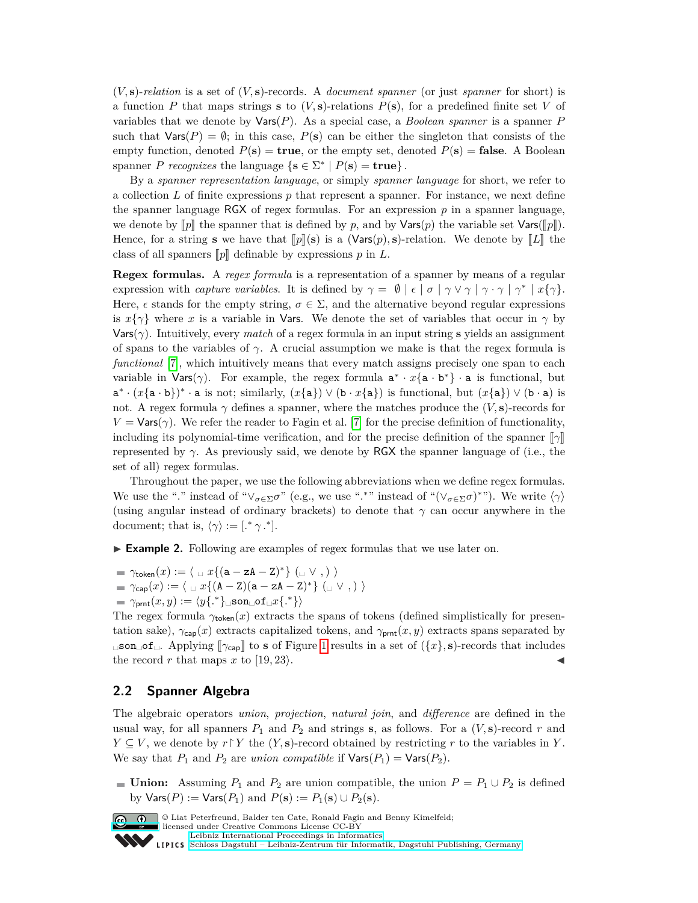(*V,* **s**)-*relation* is a set of (*V,* **s**)-records. A *document spanner* (or just *spanner* for short) is a function *P* that maps strings **s** to  $(V, s)$ -relations  $P(s)$ , for a predefined finite set *V* of variables that we denote by Vars(*P*). As a special case, a *Boolean spanner* is a spanner *P* such that  $Var(P) = \emptyset$ ; in this case,  $P(s)$  can be either the singleton that consists of the empty function, denoted  $P(\mathbf{s}) = \mathbf{true}$ , or the empty set, denoted  $P(\mathbf{s}) = \mathbf{false}$ . A Boolean spanner *P recognizes* the language  $\{s \in \Sigma^* \mid P(s) = \text{true}\}.$ 

By a *spanner representation language*, or simply *spanner language* for short, we refer to a collection *L* of finite expressions *p* that represent a spanner. For instance, we next define the spanner language  $RGX$  of regex formulas. For an expression  $p$  in a spanner language, we denote by  $\llbracket p \rrbracket$  the spanner that is defined by p, and by  $\text{Vars}(p)$  the variable set  $\text{Vars}(\llbracket p \rrbracket)$ . Hence, for a string **s** we have that  $\llbracket p \rrbracket(\mathbf{s})$  is a (Vars $(p)$ , **s**)-relation. We denote by  $\llbracket L \rrbracket$  the class of all spanners  $[p]$  definable by expressions  $p$  in  $L$ .

**Regex formulas.** A *regex formula* is a representation of a spanner by means of a regular expression with *capture variables*. It is defined by  $\gamma = \emptyset \mid \epsilon \mid \sigma \mid \gamma \vee \gamma \mid \gamma \cdot \gamma \mid \gamma^* \mid x\{\gamma\}.$ Here,  $\epsilon$  stands for the empty string,  $\sigma \in \Sigma$ , and the alternative beyond regular expressions is  $x\{\gamma\}$  where *x* is a variable in Vars. We denote the set of variables that occur in  $\gamma$  by Vars( $\gamma$ ). Intuitively, every *match* of a regex formula in an input string **s** yields an assignment of spans to the variables of  $\gamma$ . A crucial assumption we make is that the regex formula is *functional* [\[7\]](#page-15-5), which intuitively means that every match assigns precisely one span to each variable in Vars( $\gamma$ ). For example, the regex formula  $a^* \cdot x{a \cdot b^*} \cdot a$  is functional, but  $a^* \cdot (x{a \cdot b})^* \cdot a$  is not; similarly,  $(x{a}) \vee (b \cdot x{a})$  is functional, but  $(x{a}) \vee (b \cdot a)$  is not. A regex formula  $\gamma$  defines a spanner, where the matches produce the  $(V, s)$ -records for  $V = \text{Vars}(\gamma)$ . We refer the reader to Fagin et al. [\[7\]](#page-15-5) for the precise definition of functionality, including its polynomial-time verification, and for the precise definition of the spanner  $\llbracket \gamma \rrbracket$ represented by *γ*. As previously said, we denote by RGX the spanner language of (i.e., the set of all) regex formulas.

Throughout the paper, we use the following abbreviations when we define regex formulas. We use the "<sup>*.*"</sup> instead of " $\vee_{\sigma \in \Sigma} \sigma$ " (e.g., we use "<sup>\*</sup>."" instead of " $(\vee_{\sigma \in \Sigma} \sigma)^*$ "). We write  $\langle \gamma \rangle$ (using angular instead of ordinary brackets) to denote that *γ* can occur anywhere in the document; that is,  $\langle \gamma \rangle := [$ .\*  $\gamma$ .\*].

<span id="page-4-0"></span>**Example 2.** Following are examples of regex formulas that we use later on.

 $\gamma_{\mathsf{token}}(x) := \langle \; \sqcup \; x \{(\mathtt{a} - \mathtt{zA} - \mathtt{Z})^*\} \; (\sqcup \; \vee \; ,) \; \rangle$ 

$$
= \gamma_{\mathsf{cap}}(x) := \langle \ \sqcup x \{ (\mathtt{A} - \mathtt{Z}) (\mathtt{a} - \mathtt{z} \mathtt{A} - \mathtt{Z})^* \} \ (\sqcup \ \vee \ , ) \ \rangle
$$

 $\gamma_{\mathsf{prnt}}(x, y) := \langle y \{.^{\ast} \} \rangle$ ်son $\Box$ of $\Box x \{.^{\ast} \} \rangle$ 

The regex formula  $\gamma_{\text{token}}(x)$  extracts the spans of tokens (defined simplistically for presentation sake),  $\gamma_{\text{cap}}(x)$  extracts capitalized tokens, and  $\gamma_{\text{prnt}}(x, y)$  extracts spans separated by  $\Box$ son $\Box$ of $\Box$ . Applying  $[\gamma_{cap}]$  to s of Figure [1](#page-3-1) results in a set of ({*x*}*,* s)-records that includes the record *r* that maps *x* to [19*,* 23). the record *r* that maps *x* to [19, 23).

#### **2.2 Spanner Algebra**

The algebraic operators *union*, *projection*, *natural join*, and *difference* are defined in the usual way, for all spanners  $P_1$  and  $P_2$  and strings **s**, as follows. For a  $(V, s)$ -record  $r$  and  $Y \subseteq V$ , we denote by  $r \upharpoonright Y$  the  $(Y, s)$ -record obtained by restricting *r* to the variables in *Y*. We say that  $P_1$  and  $P_2$  are *union compatible* if  $\text{Vars}(P_1) = \text{Vars}(P_2)$ .

■ **Union:** Assuming  $P_1$  and  $P_2$  are union compatible, the union  $P = P_1 ∪ P_2$  is defined by  $\text{Vars}(P) := \text{Vars}(P_1)$  and  $P(\mathbf{s}) := P_1(\mathbf{s}) \cup P_2(\mathbf{s}).$ 



**C**  $\bullet$  U Liat Peterfreund, Balder ten Cate, Ronald Fagin and Benny Kimelfeld; licensed under Creative Commons License CC-BY [Leibniz International Proceedings in Informatics](http://www.dagstuhl.de/lipics/) [Schloss Dagstuhl – Leibniz-Zentrum für Informatik, Dagstuhl Publishing, Germany](http://www.dagstuhl.de)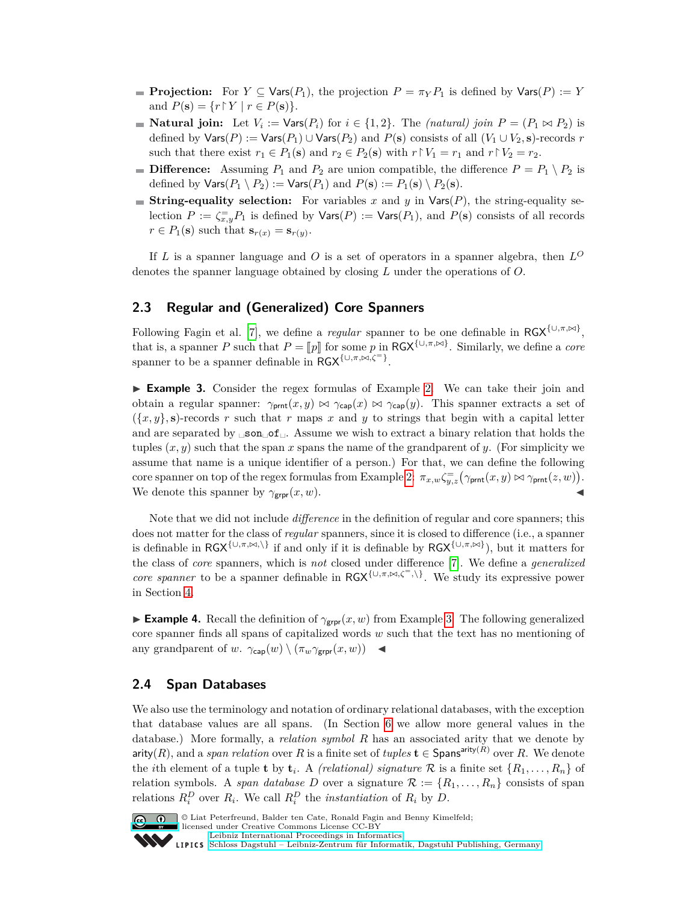- **Projection:** For  $Y \subseteq \text{Vars}(P_1)$ , the projection  $P = \pi_Y P_1$  is defined by  $\text{Vars}(P) := Y$ and  $P(\mathbf{s}) = \{r \mid Y \mid r \in P(\mathbf{s})\}.$
- **Natural join:** Let  $V_i := \text{Vars}(P_i)$  for  $i \in \{1, 2\}$ . The *(natural) join*  $P = (P_1 \bowtie P_2)$  is defined by  $\text{Vars}(P) := \text{Vars}(P_1) \cup \text{Vars}(P_2)$  and  $P(\mathbf{s})$  consists of all  $(V_1 \cup V_2, \mathbf{s})$ -records *r* such that there exist  $r_1 \in P_1(\mathbf{s})$  and  $r_2 \in P_2(\mathbf{s})$  with  $r \upharpoonright V_1 = r_1$  and  $r \upharpoonright V_2 = r_2$ .
- **Difference:** Assuming  $P_1$  and  $P_2$  are union compatible, the difference  $P = P_1 \setminus P_2$  is defined by  $\textsf{Vars}(P_1 \setminus P_2) := \textsf{Vars}(P_1)$  and  $P(\mathbf{s}) := P_1(\mathbf{s}) \setminus P_2(\mathbf{s})$ .
- **String-equality selection:** For variables x and y in  $\text{Vars}(P)$ , the string-equality selection  $P := \zeta_{x,y}^- P_1$  is defined by  $\mathsf{Vars}(P) := \mathsf{Vars}(P_1)$ , and  $P(\mathbf{s})$  consists of all records  $r \in P_1(\mathbf{s})$  such that  $\mathbf{s}_{r(x)} = \mathbf{s}_{r(y)}$ .

If *L* is a spanner language and *O* is a set of operators in a spanner algebra, then  $L^O$ denotes the spanner language obtained by closing *L* under the operations of *O*.

## **2.3 Regular and (Generalized) Core Spanners**

Following Fagin et al. [\[7\]](#page-15-5), we define a *regular* spanner to be one definable in  $RGX^{\{\cup, \pi, \bowtie\}}$ , that is, a spanner *P* such that  $P = [p]$  for some *p* in RGX<sup>{∪*,π*, $\bowtie$ *}*</sub>. Similarly, we define a *core*</sup> spanner to be a spanner definable in  $\overline{RGX}^{\{\cup,\pi,\bowtie,\zeta^=\}}$ .

<span id="page-5-0"></span>► **Example 3.** Consider the regex formulas of Example [2.](#page-4-0) We can take their join and obtain a regular spanner:  $\gamma_{\text{prnt}}(x, y) \bowtie \gamma_{\text{cap}}(x) \bowtie \gamma_{\text{cap}}(y)$ . This spanner extracts a set of  $({x, y}, s)$ -records *r* such that *r* maps *x* and *y* to strings that begin with a capital letter and are separated by  $\Box$ son $\Box$ of $\Box$ . Assume we wish to extract a binary relation that holds the tuples  $(x, y)$  such that the span x spans the name of the grandparent of y. (For simplicity we assume that name is a unique identifier of a person.) For that, we can define the following core spanner on top of the regex formulas from Example [2:](#page-4-0)  $\pi_{x,w}\zeta_{y,z}^{-1}(\gamma_{\text{prnt}}(x,y) \bowtie \gamma_{\text{prnt}}(z,w)).$ We denote this spanner by  $\gamma_{\text{grpr}}(x, w)$ .

Note that we did not include *difference* in the definition of regular and core spanners; this does not matter for the class of *regular* spanners, since it is closed to difference (i.e., a spanner is definable in  $RGX^{\{\cup,\pi,\bowtie,\{\}}\}$  if and only if it is definable by  $RGX^{\{\cup,\pi,\bowtie\}}$ , but it matters for the class of *core* spanners, which is *not* closed under difference [\[7\]](#page-15-5). We define a *generalized core spanner* to be a spanner definable in  $\text{RGX}^{\{\cup,\pi,\bowtie,\zeta^=\},\}$ . We study its expressive power in Section [4.](#page-6-1)

**Example 4.** Recall the definition of  $\gamma_{\text{grpr}}(x, w)$  from Example [3.](#page-5-0) The following generalized core spanner finds all spans of capitalized words *w* such that the text has no mentioning of any grandparent of *w*.  $\gamma_{\mathsf{cap}}(w) \setminus (\pi_w \gamma_{\mathsf{grpr}}(x, w))$ 

#### **2.4 Span Databases**

We also use the terminology and notation of ordinary relational databases, with the exception that database values are all spans. (In Section [6](#page-11-0) we allow more general values in the database.) More formally, a *relation symbol R* has an associated arity that we denote by arity(*R*), and a *span relation* over *R* is a finite set of *tuples*  $\mathbf{t} \in$  Spans<sup>arity(*R*)</sup> over *R*. We denote the *i*th element of a tuple **t** by  $\mathbf{t}_i$ . A *(relational) signature*  $\mathcal{R}$  is a finite set  $\{R_1, \ldots, R_n\}$  of relation symbols. A *span database D* over a signature  $\mathcal{R} := \{R_1, \ldots, R_n\}$  consists of span relations  $R_i^D$  over  $R_i$ . We call  $R_i^D$  the *instantiation* of  $R_i$  by  $D$ .



© Liat Peterfreund, Balder ten Cate, Ronald Fagin and Benny Kimelfeld; licensed under Creative Commons License CC-BY

[Leibniz International Proceedings in Informatics](http://www.dagstuhl.de/lipics/) [Schloss Dagstuhl – Leibniz-Zentrum für Informatik, Dagstuhl Publishing, Germany](http://www.dagstuhl.de)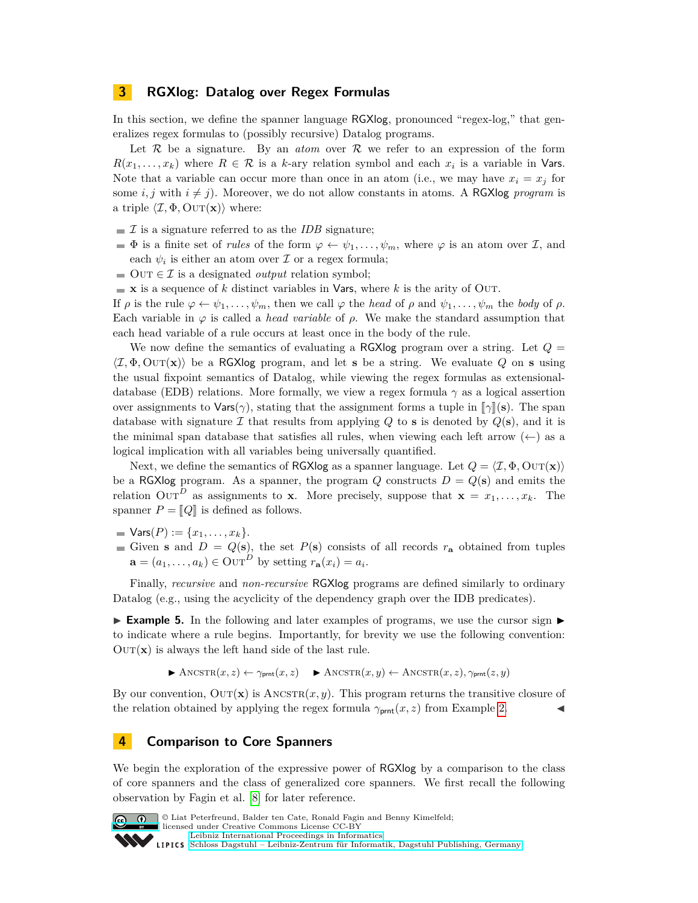#### <span id="page-6-0"></span>**3 RGXlog: Datalog over Regex Formulas**

In this section, we define the spanner language RGXlog, pronounced "regex-log," that generalizes regex formulas to (possibly recursive) Datalog programs.

Let  $\mathcal R$  be a signature. By an *atom* over  $\mathcal R$  we refer to an expression of the form  $R(x_1, \ldots, x_k)$  where  $R \in \mathcal{R}$  is a *k*-ary relation symbol and each  $x_i$  is a variable in **Vars.** Note that a variable can occur more than once in an atom (i.e., we may have  $x_i = x_j$  for some *i, j* with  $i \neq j$ ). Moreover, we do not allow constants in atoms. A RGXlog *program* is a triple  $\langle \mathcal{I}, \Phi, \text{OUT}(\mathbf{x}) \rangle$  where:

- $\mathcal I$  is a signature referred to as the *IDB* signature;
- $\Phi$  is a finite set of *rules* of the form  $\varphi \leftarrow \psi_1, \ldots, \psi_m$ , where  $\varphi$  is an atom over  $\mathcal{I}$ , and each  $\psi_i$  is either an atom over  $\mathcal I$  or a regex formula;
- $\Box$  OUT  $\in \mathcal{I}$  is a designated *output* relation symbol;
- $\bullet$  **x** is a sequence of *k* distinct variables in Vars, where *k* is the arity of Out.

If  $\rho$  is the rule  $\varphi \leftarrow \psi_1, \ldots, \psi_m$ , then we call  $\varphi$  the *head* of  $\rho$  and  $\psi_1, \ldots, \psi_m$  the *body* of  $\rho$ . Each variable in  $\varphi$  is called a *head variable* of  $\rho$ . We make the standard assumption that each head variable of a rule occurs at least once in the body of the rule.

We now define the semantics of evaluating a RGXlog program over a string. Let  $Q =$  $\langle \mathcal{I}, \Phi, \text{OUT}(\mathbf{x}) \rangle$  be a RGXlog program, and let **s** be a string. We evaluate Q on **s** using the usual fixpoint semantics of Datalog, while viewing the regex formulas as extensionaldatabase (EDB) relations. More formally, we view a regex formula  $\gamma$  as a logical assertion over assignments to  $\text{Vars}(\gamma)$ , stating that the assignment forms a tuple in  $\lceil \gamma \rceil(\mathbf{s})$ . The span database with signature  $\mathcal I$  that results from applying  $Q$  to **s** is denoted by  $Q(\mathbf{s})$ , and it is the minimal span database that satisfies all rules, when viewing each left arrow  $(\leftarrow)$  as a logical implication with all variables being universally quantified.

Next, we define the semantics of RGXlog as a spanner language. Let  $Q = \langle \mathcal{I}, \Phi, \text{OUT}(\mathbf{x}) \rangle$ be a RGXlog program. As a spanner, the program  $Q$  constructs  $D = Q(s)$  and emits the relation OUT<sup>D</sup> as assignments to **x**. More precisely, suppose that **x** =  $x_1, \ldots, x_k$ . The spanner  $P = [Q]$  is defined as follows.

- $\blacksquare$  Vars(*P*) := { $x_1, \ldots, x_k$  }.
- Given **s** and  $D = Q(\mathbf{s})$ , the set  $P(\mathbf{s})$  consists of all records  $r_{\mathbf{a}}$  obtained from tuples  $\mathbf{a} = (a_1, \dots, a_k) \in \text{OUT}^D$  by setting  $r_{\mathbf{a}}(x_i) = a_i$ .

Finally, *recursive* and *non-recursive* RGXlog programs are defined similarly to ordinary Datalog (e.g., using the acyclicity of the dependency graph over the IDB predicates).

<span id="page-6-2"></span>**Example 5.** In the following and later examples of programs, we use the cursor sign  $\blacktriangleright$ to indicate where a rule begins. Importantly, for brevity we use the following convention:  $\text{OUT}(\mathbf{x})$  is always the left hand side of the last rule.

 $\blacktriangleright$  ANCSTR $(x, z) \leftarrow \gamma_{\text{prnt}}(x, z)$   $\blacktriangleright$  ANCSTR $(x, y) \leftarrow$  ANCSTR $(x, z), \gamma_{\text{prnt}}(z, y)$ 

By our convention,  $OUT(x)$  is  $ANSSTR(x, y)$ . This program returns the transitive closure of the relation obtained by applying the regex formula  $\gamma_{\text{prnt}}(x, z)$  from Example [2.](#page-4-0)

#### <span id="page-6-1"></span>**4 Comparison to Core Spanners**

We begin the exploration of the expressive power of RGXlog by a comparison to the class of core spanners and the class of generalized core spanners. We first recall the following observation by Fagin et al. [\[8\]](#page-15-6) for later reference.



© Liat Peterfreund, Balder ten Cate, Ronald Fagin and Benny Kimelfeld; licensed under Creative Commons License CC-BY [Leibniz International Proceedings in Informatics](http://www.dagstuhl.de/lipics/)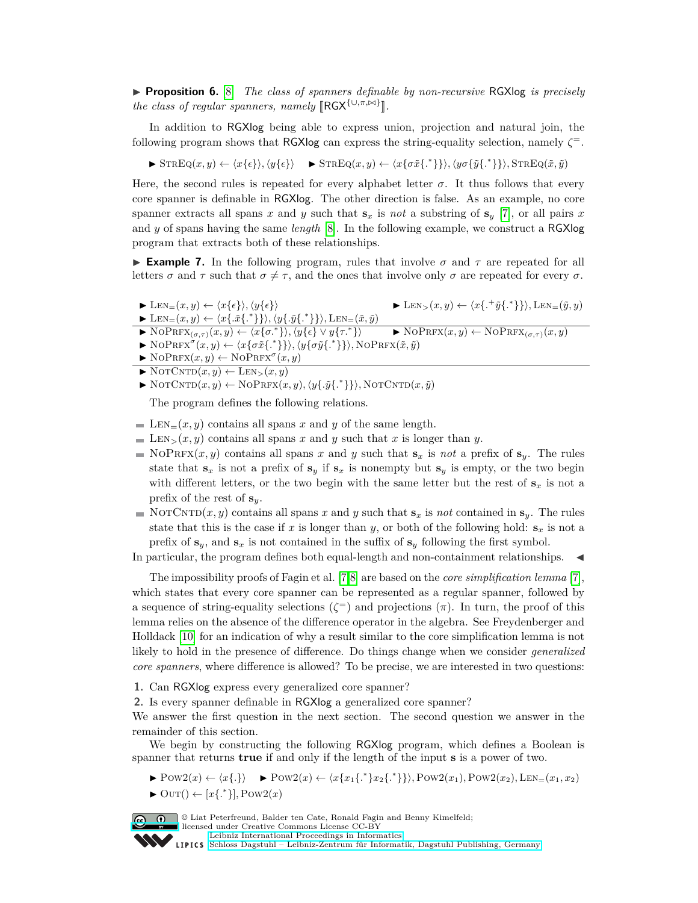▶ **Proposition 6.** [\[8\]](#page-15-6) *The class of spanners definable by non-recursive* RGXlog *is precisely the class of regular spanners, namely*  $[RGX^{\{\cup, \pi, \bowtie\}}]$ .

In addition to RGXlog being able to express union, projection and natural join, the following program shows that RGXlog can express the string-equality selection, namely  $\zeta^{\pm}$ .

 $\blacktriangleright$  STREQ $(x, y) \leftarrow \langle x\{\epsilon\} \rangle$ ,  $\langle y\{\epsilon\} \rangle$   $\blacktriangleright$  STREQ $(x, y) \leftarrow \langle x\{\sigma \tilde{x}\{\epsilon^*\} \} \rangle$ ,  $\langle y\sigma\{\tilde{y}\{\epsilon^*\} \} \rangle$ , STREQ $(\tilde{x}, \tilde{y})$ 

Here, the second rules is repeated for every alphabet letter  $\sigma$ . It thus follows that every core spanner is definable in RGXlog. The other direction is false. As an example, no core spanner extracts all spans *x* and *y* such that  $\mathbf{s}_x$  is *not* a substring of  $\mathbf{s}_y$  [\[7\]](#page-15-5), or all pairs *x* and *y* of spans having the same *length* [\[8\]](#page-15-6). In the following example, we construct a RGXlog program that extracts both of these relationships.

**Example 7.** In the following program, rules that involve  $\sigma$  and  $\tau$  are repeated for all letters  $\sigma$  and  $\tau$  such that  $\sigma \neq \tau$ , and the ones that involve only  $\sigma$  are repeated for every  $\sigma$ .

- $\blacktriangleright$  LEN<sub>=</sub> $(x, y) \leftarrow \langle x\{\epsilon\} \rangle, \langle y\{\epsilon\} \rangle$  $\{\tilde{y}\{.\}^*\}\},$ LEN= $(\tilde{y}, y)$  $\blacktriangleright$  LEN<sub>=</sub>(*x*, *y*)  $\leftarrow$   $\langle x\{\tilde{x}\{\cdot^*\}\}\rangle$ ,  $\langle y\{\tilde{y}\{\cdot^*\}\}\rangle$ , LEN<sub>=</sub>( $\tilde{x}, \tilde{y}$ )
- $\blacktriangleright$  NOPRFX<sub>( $\sigma,\tau$ )</sub> $(x, y) \leftarrow \langle x\{\sigma^*\}\rangle, \langle y\{\epsilon\} \vee y\{\tau^*\rangle$  $\blacktriangleright$  NoPRFX $(x, y) \leftarrow$  NoPRFX $_{(\sigma, \tau)}(x, y)$
- $\blacktriangleright$  NoPRFX<sup> $\sigma$ </sup> $(x, y) \leftarrow \langle x \{ \sigma \tilde{x} \{.\}^* \} \rangle, \langle y \{ \sigma \tilde{y} \{.\}^* \} \rangle, \text{NoPRFX}(\tilde{x}, \tilde{y})$
- $\blacktriangleright$  NoPRFX $(x, y) \leftarrow$  NoPRFX<sup> $\sigma$ </sup> $(x, y)$
- $\blacktriangleright$  NOTCNTD $(x, y) \leftarrow$  LEN<sub>></sub> $(x, y)$
- $\blacktriangleright$  NOTCNTD $(x, y) \leftarrow$  NOPRFX $(x, y), \langle y\{\tilde{y}\}, \tilde{y}\}\rangle$ , NOTCNTD $(x, \tilde{y})$

The program defines the following relations.

- $\blacksquare$  LEN<sub>=</sub> $(x, y)$  contains all spans *x* and *y* of the same length.
- $\blacksquare$  LEN<sub>></sub>(*x, y*) contains all spans *x* and *y* such that *x* is longer than *y*.
- $\blacksquare$  NoPRFX(*x, y*) contains all spans *x* and *y* such that  $\mathbf{s}_x$  is *not* a prefix of  $\mathbf{s}_y$ . The rules state that  $\mathbf{s}_x$  is not a prefix of  $\mathbf{s}_y$  if  $\mathbf{s}_x$  is nonempty but  $\mathbf{s}_y$  is empty, or the two begin with different letters, or the two begin with the same letter but the rest of  $\mathbf{s}_x$  is not a prefix of the rest of **s***y*.
- NOTCNTD $(x, y)$  contains all spans *x* and *y* such that  $\mathbf{s}_x$  is *not* contained in  $\mathbf{s}_y$ . The rules state that this is the case if *x* is longer than *y*, or both of the following hold:  $s_x$  is not a prefix of  $\mathbf{s}_y$ , and  $\mathbf{s}_x$  is not contained in the suffix of  $\mathbf{s}_y$  following the first symbol.

In particular, the program defines both equal-length and non-containment relationships.  $\blacktriangleleft$ 

The impossibility proofs of Fagin et al. [\[7,](#page-15-5)[8\]](#page-15-6) are based on the *core simplification lemma* [\[7\]](#page-15-5), which states that every core spanner can be represented as a regular spanner, followed by a sequence of string-equality selections  $(\zeta^{\pm})$  and projections  $(\pi)$ . In turn, the proof of this lemma relies on the absence of the difference operator in the algebra. See Freydenberger and Holldack [\[10\]](#page-15-9) for an indication of why a result similar to the core simplification lemma is not likely to hold in the presence of difference. Do things change when we consider *generalized core spanners*, where difference is allowed? To be precise, we are interested in two questions:

- **1.** Can RGXlog express every generalized core spanner?
- **2.** Is every spanner definable in RGXlog a generalized core spanner?

We answer the first question in the next section. The second question we answer in the remainder of this section.

We begin by constructing the following RGXlog program, which defines a Boolean is spanner that returns **true** if and only if the length of the input **s** is a power of two.

- ▶  $\text{Pow2}(x) \leftarrow \langle x\{\cdot\}\rangle$  ▶  $\text{Pow2}(x) \leftarrow \langle x\{x_1\{\cdot\cdot\}, x_2\{\cdot\cdot\}\}\rangle, \text{Pow2}(x_1), \text{Pow2}(x_2), \text{LEN}=(x_1, x_2)$
- $\blacktriangleright$  Out()  $\leftarrow$  [ $x\{.\ast\}$ ], Pow2( $x$ )

© Liat Peterfreund, Balder ten Cate, Ronald Fagin and Benny Kimelfeld; licensed under Creative Commons License CC-BY

[Leibniz International Proceedings in Informatics](http://www.dagstuhl.de/lipics/)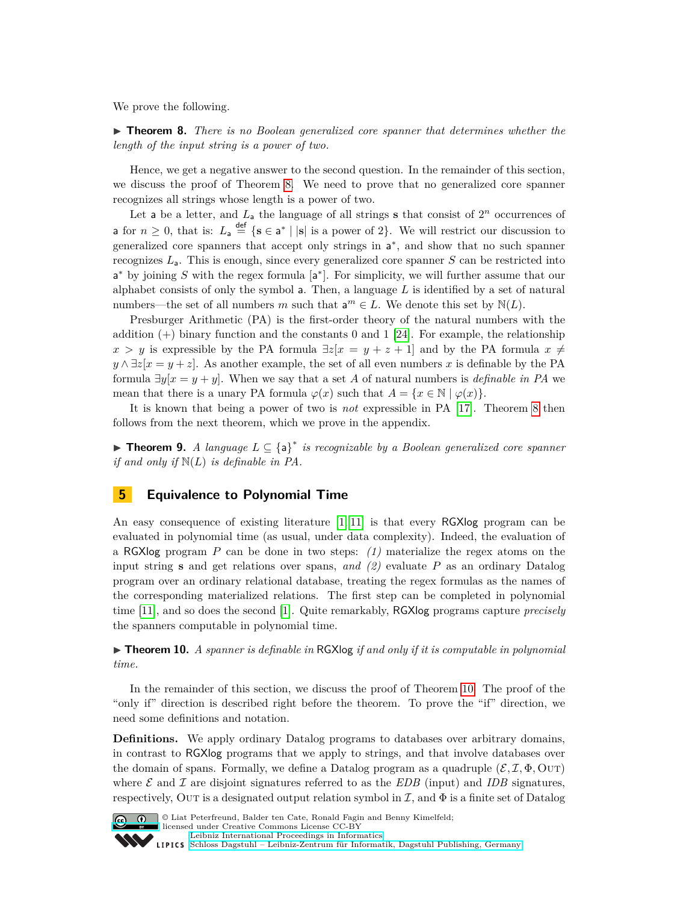We prove the following.

<span id="page-8-1"></span>**► Theorem 8.** *There is no Boolean generalized core spanner that determines whether the length of the input string is a power of two.*

Hence, we get a negative answer to the second question. In the remainder of this section, we discuss the proof of Theorem [8.](#page-8-1) We need to prove that no generalized core spanner recognizes all strings whose length is a power of two.

Let a be a letter, and  $L_a$  the language of all strings **s** that consist of  $2^n$  occurrences of **a** for  $n \geq 0$ , that is:  $L_a \stackrel{\text{def}}{=} \{s \in a^* \mid |s| \text{ is a power of } 2\}$ . We will restrict our discussion to generalized core spanners that accept only strings in  $a^*$ , and show that no such spanner recognizes  $L_a$ . This is enough, since every generalized core spanner *S* can be restricted into a<sup>\*</sup> by joining *S* with the regex formula [a<sup>\*</sup>]. For simplicity, we will further assume that our alphabet consists of only the symbol  $\mathsf{a}$ . Then, a language  $L$  is identified by a set of natural numbers—the set of all numbers *m* such that  $a^m \in L$ . We denote this set by  $N(L)$ .

Presburger Arithmetic (PA) is the first-order theory of the natural numbers with the addition  $(+)$  binary function and the constants 0 and 1 [\[24\]](#page-16-7). For example, the relationship  $x > y$  is expressible by the PA formula  $\exists z[x = y + z + 1]$  and by the PA formula  $x \neq z$  $y \wedge \exists z [x = y + z]$ . As another example, the set of all even numbers *x* is definable by the PA formula  $\exists y[x = y + y]$ . When we say that a set *A* of natural numbers is *definable in PA* we mean that there is a unary PA formula  $\varphi(x)$  such that  $A = \{x \in \mathbb{N} \mid \varphi(x)\}.$ 

It is known that being a power of two is *not* expressible in PA [\[17\]](#page-15-10). Theorem [8](#page-8-1) then follows from the next theorem, which we prove in the appendix.

<span id="page-8-3"></span>I **Theorem 9.** *A language L* ⊆ {a} ∗ *is recognizable by a Boolean generalized core spanner if and only if* N(*L*) *is definable in PA.*

## <span id="page-8-0"></span>**5 Equivalence to Polynomial Time**

An easy consequence of existing literature [\[1,](#page-15-16) [11\]](#page-15-17) is that every RGXlog program can be evaluated in polynomial time (as usual, under data complexity). Indeed, the evaluation of a RGXlog program *P* can be done in two steps: *(1)* materialize the regex atoms on the input string **s** and get relations over spans, *and (2)* evaluate *P* as an ordinary Datalog program over an ordinary relational database, treating the regex formulas as the names of the corresponding materialized relations. The first step can be completed in polynomial time [\[11\]](#page-15-17), and so does the second [\[1\]](#page-15-16). Quite remarkably, RGXlog programs capture *precisely* the spanners computable in polynomial time.

<span id="page-8-2"></span> $\triangleright$  **Theorem 10.** *A spanner is definable in* RGXlog *if and only if it is computable in polynomial time.*

In the remainder of this section, we discuss the proof of Theorem [10.](#page-8-2) The proof of the "only if" direction is described right before the theorem. To prove the "if" direction, we need some definitions and notation.

**Definitions.** We apply ordinary Datalog programs to databases over arbitrary domains, in contrast to RGXlog programs that we apply to strings, and that involve databases over the domain of spans. Formally, we define a Datalog program as a quadruple  $(\mathcal{E}, \mathcal{I}, \Phi, \text{OUT})$ where  $\mathcal E$  and  $\mathcal I$  are disjoint signatures referred to as the *EDB* (input) and *IDB* signatures, respectively. Out is a designated output relation symbol in  $\mathcal{I}$ , and  $\Phi$  is a finite set of Datalog



© Liat Peterfreund, Balder ten Cate, Ronald Fagin and Benny Kimelfeld; licensed under Creative Commons License CC-BY

[Leibniz International Proceedings in Informatics](http://www.dagstuhl.de/lipics/)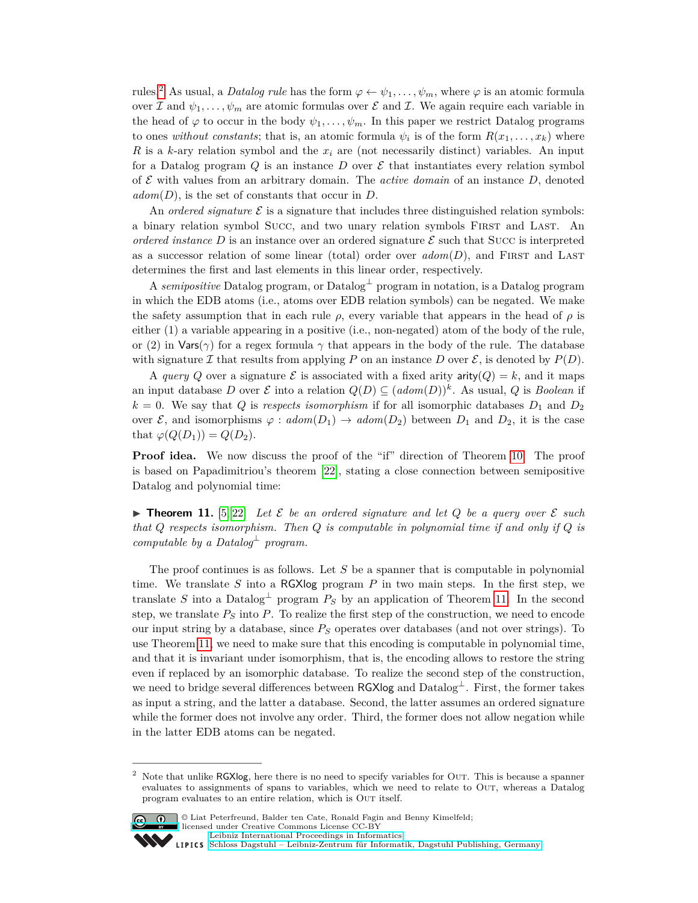rules.<sup>[2](#page-9-0)</sup> As usual, a *Datalog rule* has the form  $\varphi \leftarrow \psi_1, \ldots, \psi_m$ , where  $\varphi$  is an atomic formula over I and  $\psi_1, \ldots, \psi_m$  are atomic formulas over E and I. We again require each variable in the head of  $\varphi$  to occur in the body  $\psi_1, \ldots, \psi_m$ . In this paper we restrict Datalog programs to ones *without constants*; that is, an atomic formula  $\psi_i$  is of the form  $R(x_1, \ldots, x_k)$  where *R* is a *k*-ary relation symbol and the *x<sup>i</sup>* are (not necessarily distinct) variables. An input for a Datalog program Q is an instance  $D$  over  $\mathcal E$  that instantiates every relation symbol of  $\mathcal E$  with values from an arbitrary domain. The *active domain* of an instance  $D$ , denoted *adom*(*D*), is the set of constants that occur in *D*.

An *ordered signature*  $\mathcal E$  is a signature that includes three distinguished relation symbols: a binary relation symbol Succ, and two unary relation symbols FIRST and LAST. An *ordered instance* D is an instance over an ordered signature  $\mathcal E$  such that Succ is interpreted as a successor relation of some linear (total) order over  $\alpha dom(D)$ , and FIRST and LAST determines the first and last elements in this linear order, respectively.

A *semipositive* Datalog program, or Datalog<sup>⊥</sup> program in notation, is a Datalog program in which the EDB atoms (i.e., atoms over EDB relation symbols) can be negated. We make the safety assumption that in each rule  $\rho$ , every variable that appears in the head of  $\rho$  is either (1) a variable appearing in a positive (i.e., non-negated) atom of the body of the rule, or (2) in  $\text{Vars}(\gamma)$  for a regex formula  $\gamma$  that appears in the body of the rule. The database with signature I that results from applying P on an instance D over  $\mathcal{E}$ , is denoted by  $P(D)$ .

A *query* Q over a signature  $\mathcal E$  is associated with a fixed arity  $\text{arity}(Q) = k$ , and it maps an input database *D* over *E* into a relation  $Q(D) \subseteq (adom(D))^k$ . As usual, *Q* is *Boolean* if  $k = 0$ . We say that *Q* is *respects isomorphism* if for all isomorphic databases  $D_1$  and  $D_2$ over  $\mathcal{E}$ , and isomorphisms  $\varphi : \mathit{adom}(D_1) \to \mathit{adom}(D_2)$  between  $D_1$  and  $D_2$ , it is the case that  $\varphi(Q(D_1)) = Q(D_2)$ .

**Proof idea.** We now discuss the proof of the "if" direction of Theorem [10.](#page-8-2) The proof is based on Papadimitriou's theorem [\[22\]](#page-15-13), stating a close connection between semipositive Datalog and polynomial time:

<span id="page-9-1"></span>**Find 11.** [\[5,](#page-15-18) [22\]](#page-15-13) Let  $\mathcal{E}$  be an ordered signature and let  $Q$  be a query over  $\mathcal{E}$  such *that Q respects isomorphism. Then Q is computable in polynomial time if and only if Q is computable by a Datalog*<sup> $\perp$ </sup> *program.* 

The proof continues is as follows. Let *S* be a spanner that is computable in polynomial time. We translate *S* into a RGXlog program *P* in two main steps. In the first step, we translate *S* into a Datalog<sup> $\perp$ </sup> program  $P_S$  by an application of Theorem [11.](#page-9-1) In the second step, we translate *P<sup>S</sup>* into *P*. To realize the first step of the construction, we need to encode our input string by a database, since *P<sup>S</sup>* operates over databases (and not over strings). To use Theorem [11,](#page-9-1) we need to make sure that this encoding is computable in polynomial time, and that it is invariant under isomorphism, that is, the encoding allows to restore the string even if replaced by an isomorphic database. To realize the second step of the construction, we need to bridge several differences between  $\mathsf{RGXlog}$  and  $\mathsf{Database}^\perp$ . First, the former takes as input a string, and the latter a database. Second, the latter assumes an ordered signature while the former does not involve any order. Third, the former does not allow negation while in the latter EDB atoms can be negated.

<span id="page-9-0"></span><sup>&</sup>lt;sup>2</sup> Note that unlike  $RGXlog$ , here there is no need to specify variables for OUT. This is because a spanner evaluates to assignments of spans to variables, which we need to relate to Out, whereas a Datalog program evaluates to an entire relation, which is Out itself.



<sup>©</sup> Liat Peterfreund, Balder ten Cate, Ronald Fagin and Benny Kimelfeld; licensed under Creative Commons License CC-BY [Leibniz International Proceedings in Informatics](http://www.dagstuhl.de/lipics/)

[Schloss Dagstuhl – Leibniz-Zentrum für Informatik, Dagstuhl Publishing, Germany](http://www.dagstuhl.de)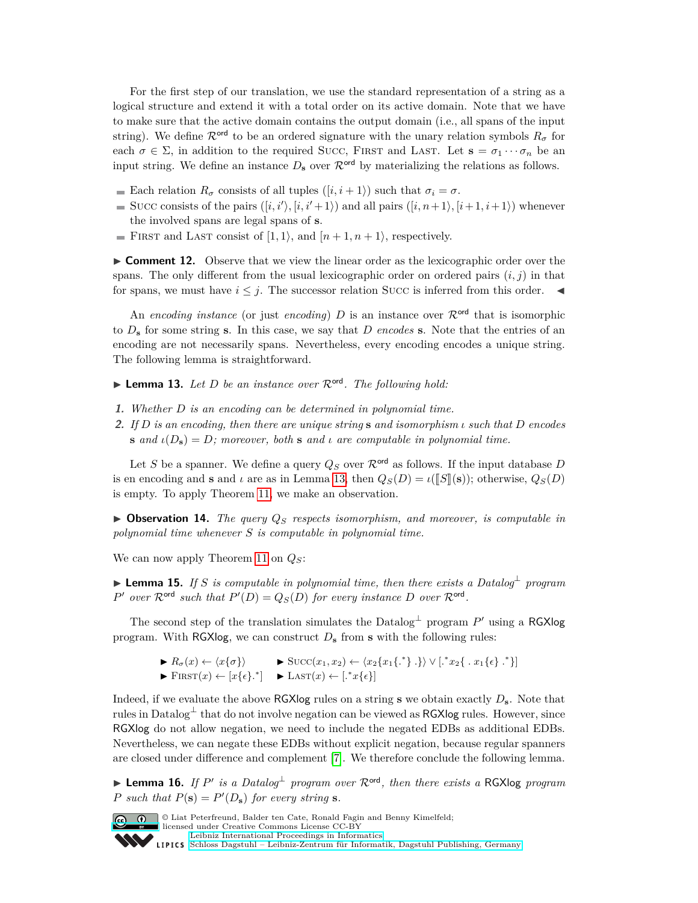For the first step of our translation, we use the standard representation of a string as a logical structure and extend it with a total order on its active domain. Note that we have to make sure that the active domain contains the output domain (i.e., all spans of the input string). We define  $\mathcal{R}^{\text{ord}}$  to be an ordered signature with the unary relation symbols  $R_{\sigma}$  for each  $\sigma \in \Sigma$ , in addition to the required SUCC, FIRST and LAST. Let  $\mathbf{s} = \sigma_1 \cdots \sigma_n$  be an input string. We define an instance  $D_s$  over  $\mathcal{R}^{\text{ord}}$  by materializing the relations as follows.

- Each relation  $R_{\sigma}$  consists of all tuples  $([i, i+1))$  such that  $\sigma_i = \sigma$ .
- Succ consists of the pairs  $([i, i'), [i, i'+1 \rangle)$  and all pairs  $([i, n+1), [i+1, i+1 \rangle)$  whenever the involved spans are legal spans of **s**.
- FIRST and LAST consist of  $[1, 1\rangle$ , and  $[n+1, n+1\rangle$ , respectively.

<span id="page-10-3"></span>**Comment 12.** Observe that we view the linear order as the lexicographic order over the spans. The only different from the usual lexicographic order on ordered pairs  $(i, j)$  in that for spans, we must have  $i \leq j$ . The successor relation Succ is inferred from this order.  $\blacktriangleleft$ 

An *encoding instance* (or just *encoding*) *D* is an instance over  $\mathcal{R}^{\text{ord}}$  that is isomorphic to *D***<sup>s</sup>** for some string **s**. In this case, we say that *D encodes* **s**. Note that the entries of an encoding are not necessarily spans. Nevertheless, every encoding encodes a unique string. The following lemma is straightforward.

<span id="page-10-0"></span>**Lemma 13.** Let *D* be an instance over  $\mathcal{R}^{\text{ord}}$ . The following hold:

- **1.** *Whether D is an encoding can be determined in polynomial time.*
- **2.** *If D is an encoding, then there are unique string* **s** *and isomorphism ι such that D encodes* **s** *and*  $\iota(D_s) = D$ *;* moreover, both **s** *and ι are computable in polynomial time.*

Let *S* be a spanner. We define a query  $Q_S$  over  $\mathcal{R}^{\text{ord}}$  as follows. If the input database *D* is en encoding and **s** and *ι* are as in Lemma [13,](#page-10-0) then  $Q_S(D) = \iota([\mathbb{S}](s))$ ; otherwise,  $Q_S(D)$ is empty. To apply Theorem [11,](#page-9-1) we make an observation.

 $\triangleright$  **Observation 14.** *The query*  $Q_S$  *respects isomorphism, and moreover, is computable in polynomial time whenever S is computable in polynomial time.*

We can now apply Theorem [11](#page-9-1) on *QS*:

<span id="page-10-1"></span>I **Lemma 15.** *If S is computable in polynomial time, then there exists a Datalog*<sup>⊥</sup> *program P*<sup>*'*</sup> *over*  $\mathcal{R}^{\text{ord}}$  *such that*  $P'(D) = Q_S(D)$  *for every instance D over*  $\mathcal{R}^{\text{ord}}$ *.* 

The second step of the translation simulates the Datalog<sup> $\perp$ </sup> program  $P'$  using a RGXlog program. With RGXlog, we can construct  $D_s$  from **s** with the following rules:

> $\blacktriangleright R_{\sigma}(x) \leftarrow \langle x\{\sigma\}\rangle$   $\blacktriangleright \text{Succ}(x_1, x_2) \leftarrow \langle x_2\{x_1\{\cdot\cdot\}\}\vee[\cdot^*x_2\{\cdot\cdot\cdot x_1\{\epsilon\}\cdot\cdot^*\}]$  $\blacktriangleright$  FIRST $(x) \leftarrow [x\{\epsilon\}^{\ast}] \blacktriangleright$  LAST $(x) \leftarrow [\cdot^{\ast}x\{\epsilon\}]$

Indeed, if we evaluate the above RGXlog rules on a string **s** we obtain exactly *D***s**. Note that rules in Datalog<sup>⊥</sup> that do not involve negation can be viewed as RGXlog rules. However, since RGXlog do not allow negation, we need to include the negated EDBs as additional EDBs. Nevertheless, we can negate these EDBs without explicit negation, because regular spanners are closed under difference and complement [\[7\]](#page-15-5). We therefore conclude the following lemma.

<span id="page-10-2"></span>I **Lemma 16.** *If P* 0 *is a Datalog*<sup>⊥</sup> *program over* Rord*, then there exists a* RGXlog *program P such that*  $P(\mathbf{s}) = P'(D_{\mathbf{s}})$  *for every string* **s***.* 



© Liat Peterfreund, Balder ten Cate, Ronald Fagin and Benny Kimelfeld; licensed under Creative Commons License CC-BY

[Leibniz International Proceedings in Informatics](http://www.dagstuhl.de/lipics/) [Schloss Dagstuhl – Leibniz-Zentrum für Informatik, Dagstuhl Publishing, Germany](http://www.dagstuhl.de)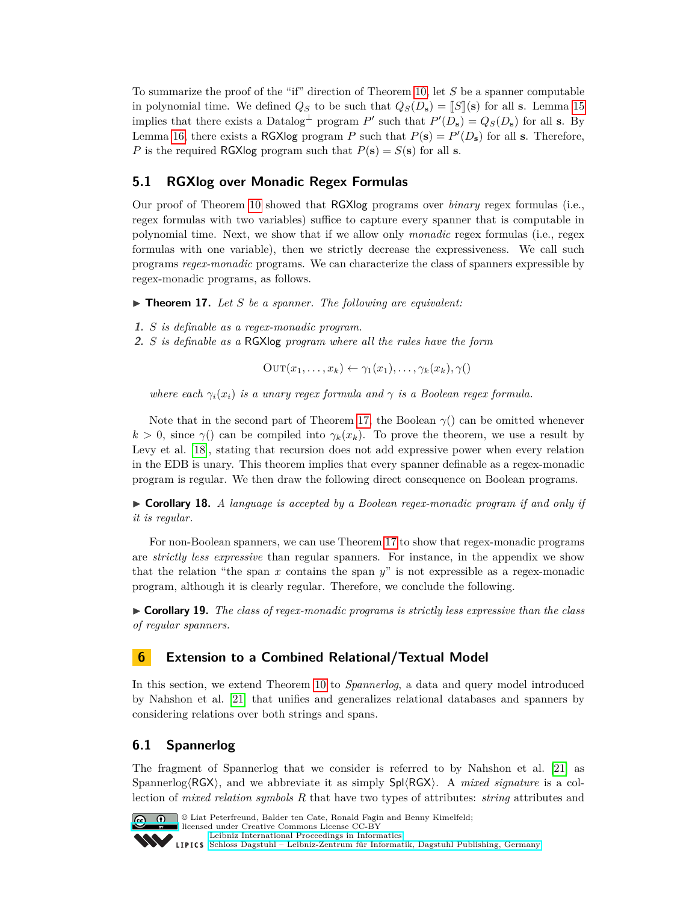To summarize the proof of the "if" direction of Theorem [10,](#page-8-2) let *S* be a spanner computable in polynomial time. We defined  $Q_S$  to be such that  $Q_S(D_s) = [S](s)$  for all **s**. Lemma [15](#page-10-1) implies that there exists a Datalog<sup> $\perp$ </sup> program *P*' such that  $P'(D_s) = Q_S(D_s)$  for all **s**. By Lemma [16,](#page-10-2) there exists a RGXlog program *P* such that  $P(s) = P'(D_s)$  for all **s**. Therefore, *P* is the required RGXlog program such that  $P(s) = S(s)$  for all **s**.

## **5.1 RGXlog over Monadic Regex Formulas**

Our proof of Theorem [10](#page-8-2) showed that RGXlog programs over *binary* regex formulas (i.e., regex formulas with two variables) suffice to capture every spanner that is computable in polynomial time. Next, we show that if we allow only *monadic* regex formulas (i.e., regex formulas with one variable), then we strictly decrease the expressiveness. We call such programs *regex-monadic* programs. We can characterize the class of spanners expressible by regex-monadic programs, as follows.

<span id="page-11-1"></span> $\blacktriangleright$  **Theorem 17.** Let *S* be a spanner. The following are equivalent:

- **1.** *S is definable as a regex-monadic program.*
- **2.** *S is definable as a* RGXlog *program where all the rules have the form*

 $\text{OUT}(x_1, \ldots, x_k) \leftarrow \gamma_1(x_1), \ldots, \gamma_k(x_k), \gamma()$ 

*where each*  $\gamma_i(x_i)$  *is a unary regex formula and*  $\gamma$  *is a Boolean regex formula.* 

Note that in the second part of Theorem [17,](#page-11-1) the Boolean  $\gamma$ () can be omitted whenever  $k > 0$ , since  $\gamma$  can be compiled into  $\gamma_k(x_k)$ . To prove the theorem, we use a result by Levy et al. [\[18\]](#page-15-19), stating that recursion does not add expressive power when every relation in the EDB is unary. This theorem implies that every spanner definable as a regex-monadic program is regular. We then draw the following direct consequence on Boolean programs.

 $\triangleright$  **Corollary 18.** A language is accepted by a Boolean regex-monadic program if and only if *it is regular.*

For non-Boolean spanners, we can use Theorem [17](#page-11-1) to show that regex-monadic programs are *strictly less expressive* than regular spanners. For instance, in the appendix we show that the relation "the span *x* contains the span *y*" is not expressible as a regex-monadic program, although it is clearly regular. Therefore, we conclude the following.

<span id="page-11-2"></span>I **Corollary 19.** *The class of regex-monadic programs is strictly less expressive than the class of regular spanners.*

## <span id="page-11-0"></span>**6 Extension to a Combined Relational/Textual Model**

In this section, we extend Theorem [10](#page-8-2) to *Spannerlog*, a data and query model introduced by Nahshon et al. [\[21\]](#page-15-15) that unifies and generalizes relational databases and spanners by considering relations over both strings and spans.

#### **6.1 Spannerlog**

The fragment of Spannerlog that we consider is referred to by Nahshon et al. [\[21\]](#page-15-15) as Spannerlog $\langle \text{RGX} \rangle$ , and we abbreviate it as simply  $\text{Spl}\langle \text{RGX} \rangle$ . A *mixed signature* is a collection of *mixed relation symbols R* that have two types of attributes: *string* attributes and



© Liat Peterfreund, Balder ten Cate, Ronald Fagin and Benny Kimelfeld; licensed under Creative Commons License CC-BY [Leibniz International Proceedings in Informatics](http://www.dagstuhl.de/lipics/)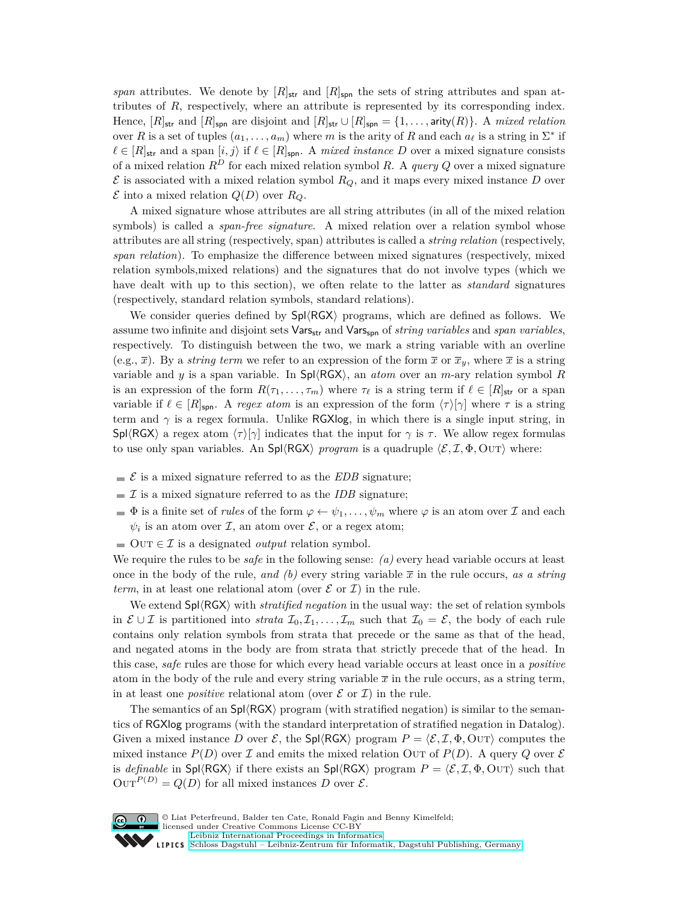*span* attributes. We denote by  $[R]_{str}$  and  $[R]_{spn}$  the sets of string attributes and span attributes of *R*, respectively, where an attribute is represented by its corresponding index. Hence,  $[R]_{str}$  and  $[R]_{spn}$  are disjoint and  $[R]_{str} \cup [R]_{spn} = \{1, \ldots, \text{arity}(R)\}\$ . A *mixed relation* over *R* is a set of tuples  $(a_1, \ldots, a_m)$  where *m* is the arity of *R* and each  $a_\ell$  is a string in  $\Sigma^*$  if  $\ell \in [R]_{str}$  and a span  $[i, j]$  if  $\ell \in [R]_{spn}$ . A *mixed instance D* over a mixed signature consists of a mixed relation  $R^D$  for each mixed relation symbol R. A *query*  $Q$  over a mixed signature  $\mathcal E$  is associated with a mixed relation symbol  $R_Q$ , and it maps every mixed instance  $D$  over  $\mathcal E$  into a mixed relation  $Q(D)$  over  $R_Q$ .

A mixed signature whose attributes are all string attributes (in all of the mixed relation symbols) is called a *span-free signature*. A mixed relation over a relation symbol whose attributes are all string (respectively, span) attributes is called a *string relation* (respectively, *span relation*). To emphasize the difference between mixed signatures (respectively, mixed relation symbols,mixed relations) and the signatures that do not involve types (which we have dealt with up to this section), we often relate to the latter as *standard* signatures (respectively, standard relation symbols, standard relations).

We consider queries defined by  $Spl\langle RGX\rangle$  programs, which are defined as follows. We assume two infinite and disjoint sets Vars<sub>str</sub> and Vars<sub>spn</sub> of *string variables* and *span variables*, respectively. To distinguish between the two, we mark a string variable with an overline (e.g.,  $\bar{x}$ ). By a *string term* we refer to an expression of the form  $\bar{x}$  or  $\bar{x}_y$ , where  $\bar{x}$  is a string variable and *y* is a span variable. In  $\text{Spl}\langle \text{RGX}\rangle$ , an *atom* over an *m*-ary relation symbol *R* is an expression of the form  $R(\tau_1, \ldots, \tau_m)$  where  $\tau_\ell$  is a string term if  $\ell \in [R]_{str}$  or a span variable if  $\ell \in [R]_{\text{spn}}$ . A *regex atom* is an expression of the form  $\langle \tau \rangle [\gamma]$  where  $\tau$  is a string term and  $\gamma$  is a regex formula. Unlike RGXlog, in which there is a single input string, in Spl $\langle \text{RGX} \rangle$  a regex atom  $\langle \tau \rangle$ [*γ*] indicates that the input for *γ* is *τ*. We allow regex formulas to use only span variables. An Spl $\langle$ RGX $\rangle$  *program* is a quadruple  $\langle \mathcal{E}, \mathcal{I}, \Phi, \text{OUT} \rangle$  where:

- $\mathcal{E}$  is a mixed signature referred to as the *EDB* signature;
- $\mathcal I$  is a mixed signature referred to as the *IDB* signature;
- $\Phi$  is a finite set of *rules* of the form  $\varphi \leftarrow \psi_1, \dots, \psi_m$  where  $\varphi$  is an atom over  $\mathcal I$  and each  $\psi_i$  is an atom over  $\mathcal{I}$ , an atom over  $\mathcal{E}$ , or a regex atom;
- $\Box$  OUT  $\in \mathcal{I}$  is a designated *output* relation symbol.

We require the rules to be *safe* in the following sense: *(a)* every head variable occurs at least once in the body of the rule, *and* (b) every string variable  $\bar{x}$  in the rule occurs, *as a string term*, in at least one relational atom (over  $\mathcal E$  or  $\mathcal I$ ) in the rule.

We extend  $Spl\langle RGX\rangle$  with *stratified negation* in the usual way: the set of relation symbols in  $\mathcal{E} \cup \mathcal{I}$  is partitioned into *strata*  $\mathcal{I}_0, \mathcal{I}_1, \ldots, \mathcal{I}_m$  such that  $\mathcal{I}_0 = \mathcal{E}$ , the body of each rule contains only relation symbols from strata that precede or the same as that of the head, and negated atoms in the body are from strata that strictly precede that of the head. In this case, *safe* rules are those for which every head variable occurs at least once in a *positive* atom in the body of the rule and every string variable  $\bar{x}$  in the rule occurs, as a string term, in at least one *positive* relational atom (over  $\mathcal E$  or  $\mathcal I$ ) in the rule.

The semantics of an  $\text{Spl}\langle\text{RGX}\rangle$  program (with stratified negation) is similar to the semantics of RGXlog programs (with the standard interpretation of stratified negation in Datalog). Given a mixed instance *D* over  $\mathcal{E}$ , the Spl $\langle \text{RGX} \rangle$  program  $P = \langle \mathcal{E}, \mathcal{I}, \Phi, \text{OUT} \rangle$  computes the mixed instance  $P(D)$  over I and emits the mixed relation OUT of  $P(D)$ . A query Q over E is *definable* in  $\text{Spl}\langle \text{RGX}\rangle$  if there exists an  $\text{Spl}\langle \text{RGX}\rangle$  program  $P = \langle \mathcal{E}, \mathcal{I}, \Phi, \text{OUT}\rangle$  such that  $\text{Our}^{P(D)} = Q(D)$  for all mixed instances *D* over  $\mathcal{E}$ .



© Liat Peterfreund, Balder ten Cate, Ronald Fagin and Benny Kimelfeld; licensed under Creative Commons License CC-BY [Leibniz International Proceedings in Informatics](http://www.dagstuhl.de/lipics/) [Schloss Dagstuhl – Leibniz-Zentrum für Informatik, Dagstuhl Publishing, Germany](http://www.dagstuhl.de)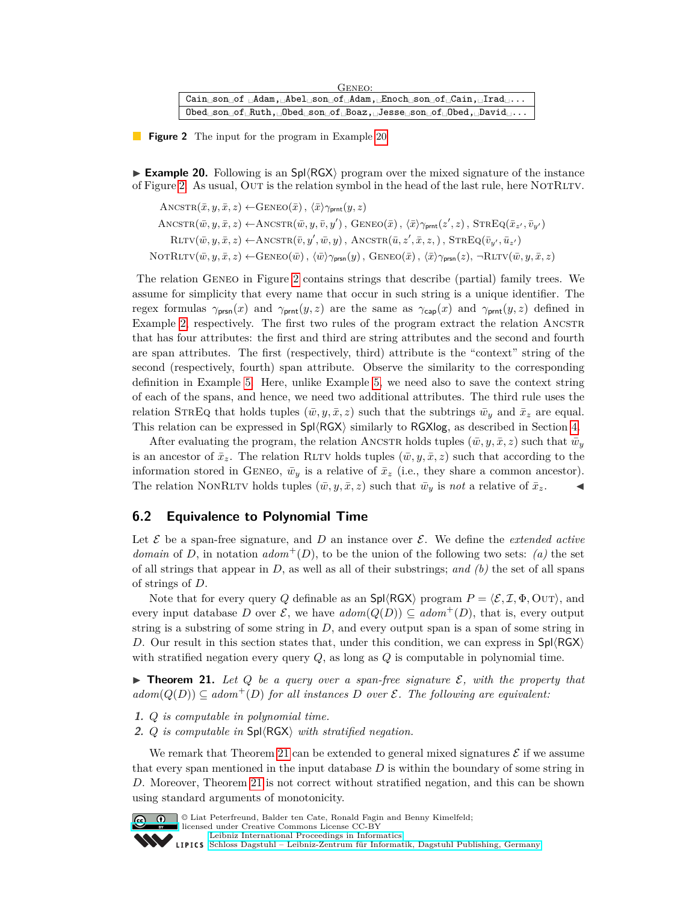<span id="page-13-1"></span>

| GENEO:                                                                                                                                                                                                                                                                     |
|----------------------------------------------------------------------------------------------------------------------------------------------------------------------------------------------------------------------------------------------------------------------------|
| $\text{Cain}_{\text{r}}\text{son}_{\text{r}}\text{of}_{\text{r}}\text{Adam}_{\text{r}}\text{Abel}_{\text{r}}\text{son}_{\text{r}}\text{of}_{\text{r}}\text{Adam}_{\text{r}}\text{Enoch}_{\text{r}}\text{son}_{\text{r}}\text{of}_{\text{r}}\text{Cain}_{\text{r}}\text{.}$ |
| $\theta$ son of Ruth, $\theta$ bed son of Boaz, Jesse son of $\theta$ bed, $\theta$ avid                                                                                                                                                                                   |

**Figure 2** The input for the program in Example [20](#page-13-0)

<span id="page-13-0"></span>**Example 20.** Following is an  $\text{Spl}\langle\text{RGX}\rangle$  program over the mixed signature of the instance of Figure [2.](#page-13-1) As usual, OUT is the relation symbol in the head of the last rule, here NOTRLTV.

 $\text{ANCSTR}(\bar{x}, y, \bar{x}, z) \leftarrow \text{GENEO}(\bar{x}), \langle \bar{x} \rangle \gamma_{\text{prnt}}(y, z)$  $\text{AMCSTR}(\bar{w}, y, \bar{x}, z) \leftarrow \text{ANCSTR}(\bar{w}, y, \bar{v}, y')$ ,  $\text{GENEO}(\bar{x})$ ,  $\langle \bar{x} \rangle \gamma_{\text{prnt}}(z', z)$ ,  $\text{STREQ}(\bar{x}_{z'}, \bar{v}_{y'})$  $\text{RLTV}(\bar{w}, y, \bar{x}, z) \leftarrow \text{ANCSTR}(\bar{v}, y', \bar{w}, y)$ ,  $\text{ANCSTR}(\bar{u}, z', \bar{x}, z,)$ ,  $\text{STREQ}(\bar{v}_{y'}, \bar{u}_{z'})$  $\text{NOTRLTV}(\bar{w}, y, \bar{x}, z) \leftarrow \text{GENEO}(\bar{w})$ ,  $\langle \bar{w} \rangle \gamma_{\text{prsn}}(y)$ ,  $\text{GENEO}(\bar{x})$ ,  $\langle \bar{x} \rangle \gamma_{\text{prsn}}(z)$ ,  $\neg \text{RLTV}(\bar{w}, y, \bar{x}, z)$ 

The relation Geneo in Figure [2](#page-13-1) contains strings that describe (partial) family trees. We assume for simplicity that every name that occur in such string is a unique identifier. The regex formulas  $\gamma_{\text{prsn}}(x)$  and  $\gamma_{\text{prnt}}(y, z)$  are the same as  $\gamma_{\text{cap}}(x)$  and  $\gamma_{\text{prnt}}(y, z)$  defined in Example [2,](#page-4-0) respectively. The first two rules of the program extract the relation ANCSTR that has four attributes: the first and third are string attributes and the second and fourth are span attributes. The first (respectively, third) attribute is the "context" string of the second (respectively, fourth) span attribute. Observe the similarity to the corresponding definition in Example [5.](#page-6-2) Here, unlike Example [5,](#page-6-2) we need also to save the context string of each of the spans, and hence, we need two additional attributes. The third rule uses the relation STREQ that holds tuples  $(\bar{w}, y, \bar{x}, z)$  such that the subtrings  $\bar{w}_y$  and  $\bar{x}_z$  are equal. This relation can be expressed in  $Spl(RGX)$  similarly to RGXlog, as described in Section [4.](#page-6-1)

After evaluating the program, the relation ANCSTR holds tuples  $(\bar{w}, y, \bar{x}, z)$  such that  $\bar{w}_y$ is an ancestor of  $\bar{x}_z$ . The relation RLTV holds tuples  $(\bar{w}, y, \bar{x}, z)$  such that according to the information stored in GENEO,  $\bar{w}_y$  is a relative of  $\bar{x}_z$  (i.e., they share a common ancestor). The relation NONRLTV holds tuples  $(\bar{w}, y, \bar{x}, z)$  such that  $\bar{w}_y$  is *not* a relative of  $\bar{x}_z$ .

#### **6.2 Equivalence to Polynomial Time**

Let  $\mathcal E$  be a span-free signature, and  $D$  an instance over  $\mathcal E$ . We define the *extended active domain* of *D*, in notation  $adom^+(D)$ , to be the union of the following two sets: *(a)* the set of all strings that appear in *D*, as well as all of their substrings; *and (b)* the set of all spans of strings of *D*.

Note that for every query *Q* definable as an  $\text{Spl}\langle \text{RGX}\rangle$  program  $P = \langle \mathcal{E}, \mathcal{I}, \Phi, \text{OUT}\rangle$ , and every input database *D* over  $\mathcal{E}$ , we have  $\text{adom}(Q(D)) \subseteq \text{adom}^+(D)$ , that is, every output string is a substring of some string in *D*, and every output span is a span of some string in *D*. Our result in this section states that, under this condition, we can express in  $\text{Spl}\langle\text{RGX}\rangle$ with stratified negation every query *Q*, as long as *Q* is computable in polynomial time.

<span id="page-13-2"></span>**Fineorem 21.** Let Q be a query over a span-free signature  $\mathcal{E}$ , with the property that  $\mathcal{A}$  *adom* $(Q(D)) \subseteq \mathcal{A}$ *dom*<sup>+</sup> $(D)$  *for all instances*  $D$  *over*  $\mathcal{E}$ *. The following are equivalent:* 

- **1.** *Q is computable in polynomial time.*
- **2.**  $Q$  is computable in  $\text{Spl}\langle \text{RGX}\rangle$  with stratified negation.

We remark that Theorem [21](#page-13-2) can be extended to general mixed signatures  $\mathcal E$  if we assume that every span mentioned in the input database *D* is within the boundary of some string in *D*. Moreover, Theorem [21](#page-13-2) is not correct without stratified negation, and this can be shown using standard arguments of monotonicity.



© Liat Peterfreund, Balder ten Cate, Ronald Fagin and Benny Kimelfeld;

licensed under Creative Commons License CC-BY [Leibniz International Proceedings in Informatics](http://www.dagstuhl.de/lipics/)

```
Schloss Dagstuhl – Leibniz-Zentrum für Informatik, Dagstuhl Publishing, Germany
```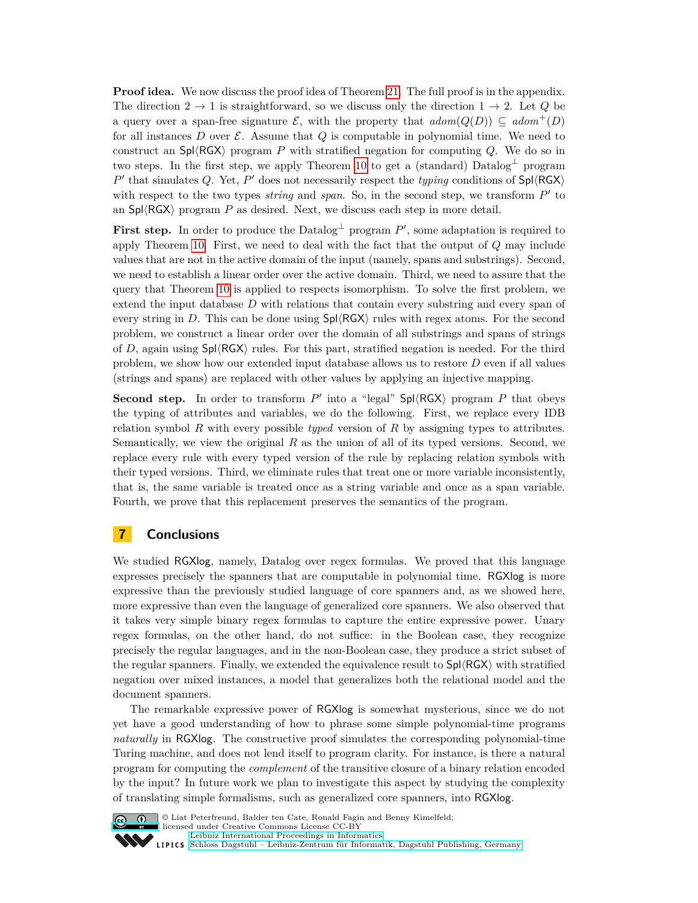**Proof idea.** We now discuss the proof idea of Theorem [21.](#page-13-2) The full proof is in the appendix. The direction  $2 \rightarrow 1$  is straightforward, so we discuss only the direction  $1 \rightarrow 2$ . Let *Q* be a query over a span-free signature  $\mathcal E$ , with the property that  $\operatorname{adom}(Q(D)) \subseteq \operatorname{adom}^+(D)$ for all instances  $D$  over  $\mathcal E$ . Assume that  $Q$  is computable in polynomial time. We need to construct an  $\text{Spl}\langle \text{RGX}\rangle$  program *P* with stratified negation for computing *Q*. We do so in two steps. In the first step, we apply Theorem [10](#page-8-2) to get a (standard) Datalog<sup>⊥</sup> program  $P'$  that simulates *Q*. Yet,  $P'$  does not necessarily respect the *typing* conditions of  $\text{Spl}\langle \text{RGX}\rangle$ with respect to the two types *string* and *span*. So, in the second step, we transform  $P'$  to an  $\text{Spl}\langle\text{RGX}\rangle$  program P as desired. Next, we discuss each step in more detail.

**First step.** In order to produce the Datalog<sup> $\perp$ </sup> program  $P'$ , some adaptation is required to apply Theorem [10.](#page-8-2) First, we need to deal with the fact that the output of *Q* may include values that are not in the active domain of the input (namely, spans and substrings). Second, we need to establish a linear order over the active domain. Third, we need to assure that the query that Theorem [10](#page-8-2) is applied to respects isomorphism. To solve the first problem, we extend the input database *D* with relations that contain every substring and every span of every string in  $D$ . This can be done using  $Sp(\sqrt{R}GX)$  rules with regex atoms. For the second problem, we construct a linear order over the domain of all substrings and spans of strings of *D*, again using  $Sp(\sqrt{RG} \setminus \text{rules})$ . For this part, stratified negation is needed. For the third problem, we show how our extended input database allows us to restore *D* even if all values (strings and spans) are replaced with other values by applying an injective mapping.

**Second step.** In order to transform  $P'$  into a "legal" Spl $\langle$ RGX $\rangle$  program  $P$  that obeys the typing of attributes and variables, we do the following. First, we replace every IDB relation symbol *R* with every possible *typed* version of *R* by assigning types to attributes. Semantically, we view the original *R* as the union of all of its typed versions. Second, we replace every rule with every typed version of the rule by replacing relation symbols with their typed versions. Third, we eliminate rules that treat one or more variable inconsistently, that is, the same variable is treated once as a string variable and once as a span variable. Fourth, we prove that this replacement preserves the semantics of the program.

## <span id="page-14-0"></span>**7 Conclusions**

We studied RGXlog, namely, Datalog over regex formulas. We proved that this language expresses precisely the spanners that are computable in polynomial time. RGXlog is more expressive than the previously studied language of core spanners and, as we showed here, more expressive than even the language of generalized core spanners. We also observed that it takes very simple binary regex formulas to capture the entire expressive power. Unary regex formulas, on the other hand, do not suffice: in the Boolean case, they recognize precisely the regular languages, and in the non-Boolean case, they produce a strict subset of the regular spanners. Finally, we extended the equivalence result to  $\text{Spl}\langle \text{RGX}\rangle$  with stratified negation over mixed instances, a model that generalizes both the relational model and the document spanners.

The remarkable expressive power of RGXlog is somewhat mysterious, since we do not yet have a good understanding of how to phrase some simple polynomial-time programs *naturally* in RGXlog. The constructive proof simulates the corresponding polynomial-time Turing machine, and does not lend itself to program clarity. For instance, is there a natural program for computing the *complement* of the transitive closure of a binary relation encoded by the input? In future work we plan to investigate this aspect by studying the complexity of translating simple formalisms, such as generalized core spanners, into RGXlog.



**C U**  $\bullet$  Liat Peterfreund, Balder ten Cate, Ronald Fagin and Benny Kimelfeld: licensed under Creative Commons License CC-BY [Leibniz International Proceedings in Informatics](http://www.dagstuhl.de/lipics/) [Schloss Dagstuhl – Leibniz-Zentrum für Informatik, Dagstuhl Publishing, Germany](http://www.dagstuhl.de)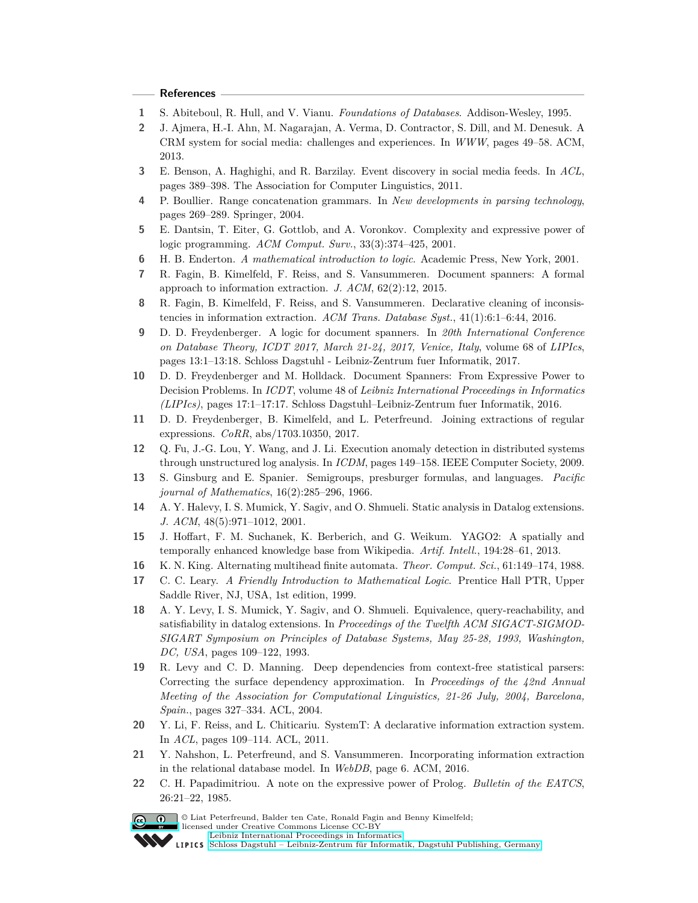#### **References**

- <span id="page-15-16"></span>**1** S. Abiteboul, R. Hull, and V. Vianu. *Foundations of Databases*. Addison-Wesley, 1995.
- <span id="page-15-1"></span>**2** J. Ajmera, H.-I. Ahn, M. Nagarajan, A. Verma, D. Contractor, S. Dill, and M. Denesuk. A CRM system for social media: challenges and experiences. In *WWW*, pages 49–58. ACM, 2013.
- <span id="page-15-0"></span>**3** E. Benson, A. Haghighi, and R. Barzilay. Event discovery in social media feeds. In *ACL*, pages 389–398. The Association for Computer Linguistics, 2011.
- <span id="page-15-11"></span>**4** P. Boullier. Range concatenation grammars. In *New developments in parsing technology*, pages 269–289. Springer, 2004.
- <span id="page-15-18"></span>**5** E. Dantsin, T. Eiter, G. Gottlob, and A. Voronkov. Complexity and expressive power of logic programming. *ACM Comput. Surv.*, 33(3):374–425, 2001.
- <span id="page-15-21"></span>**6** H. B. Enderton. *A mathematical introduction to logic*. Academic Press, New York, 2001.
- <span id="page-15-5"></span>**7** R. Fagin, B. Kimelfeld, F. Reiss, and S. Vansummeren. Document spanners: A formal approach to information extraction. *J. ACM*, 62(2):12, 2015.
- <span id="page-15-6"></span>**8** R. Fagin, B. Kimelfeld, F. Reiss, and S. Vansummeren. Declarative cleaning of inconsistencies in information extraction. *ACM Trans. Database Syst.*, 41(1):6:1–6:44, 2016.
- <span id="page-15-7"></span>**9** D. D. Freydenberger. A logic for document spanners. In *20th International Conference on Database Theory, ICDT 2017, March 21-24, 2017, Venice, Italy*, volume 68 of *LIPIcs*, pages 13:1–13:18. Schloss Dagstuhl - Leibniz-Zentrum fuer Informatik, 2017.
- <span id="page-15-9"></span>**10** D. D. Freydenberger and M. Holldack. Document Spanners: From Expressive Power to Decision Problems. In *ICDT*, volume 48 of *Leibniz International Proceedings in Informatics (LIPIcs)*, pages 17:1–17:17. Schloss Dagstuhl–Leibniz-Zentrum fuer Informatik, 2016.
- <span id="page-15-17"></span>**11** D. D. Freydenberger, B. Kimelfeld, and L. Peterfreund. Joining extractions of regular expressions. *CoRR*, abs/1703.10350, 2017.
- <span id="page-15-2"></span>**12** Q. Fu, J.-G. Lou, Y. Wang, and J. Li. Execution anomaly detection in distributed systems through unstructured log analysis. In *ICDM*, pages 149–158. IEEE Computer Society, 2009.
- <span id="page-15-20"></span>**13** S. Ginsburg and E. Spanier. Semigroups, presburger formulas, and languages. *Pacific journal of Mathematics*, 16(2):285–296, 1966.
- <span id="page-15-14"></span>**14** A. Y. Halevy, I. S. Mumick, Y. Sagiv, and O. Shmueli. Static analysis in Datalog extensions. *J. ACM*, 48(5):971–1012, 2001.
- <span id="page-15-3"></span>**15** J. Hoffart, F. M. Suchanek, K. Berberich, and G. Weikum. YAGO2: A spatially and temporally enhanced knowledge base from Wikipedia. *Artif. Intell.*, 194:28–61, 2013.
- <span id="page-15-12"></span>**16** K. N. King. Alternating multihead finite automata. *Theor. Comput. Sci.*, 61:149–174, 1988.
- <span id="page-15-10"></span>**17** C. C. Leary. *A Friendly Introduction to Mathematical Logic*. Prentice Hall PTR, Upper Saddle River, NJ, USA, 1st edition, 1999.
- <span id="page-15-19"></span>**18** A. Y. Levy, I. S. Mumick, Y. Sagiv, and O. Shmueli. Equivalence, query-reachability, and satisfiability in datalog extensions. In *Proceedings of the Twelfth ACM SIGACT-SIGMOD-SIGART Symposium on Principles of Database Systems, May 25-28, 1993, Washington, DC, USA*, pages 109–122, 1993.
- <span id="page-15-8"></span>**19** R. Levy and C. D. Manning. Deep dependencies from context-free statistical parsers: Correcting the surface dependency approximation. In *Proceedings of the 42nd Annual Meeting of the Association for Computational Linguistics, 21-26 July, 2004, Barcelona, Spain.*, pages 327–334. ACL, 2004.
- <span id="page-15-4"></span>**20** Y. Li, F. Reiss, and L. Chiticariu. SystemT: A declarative information extraction system. In *ACL*, pages 109–114. ACL, 2011.
- <span id="page-15-15"></span>**21** Y. Nahshon, L. Peterfreund, and S. Vansummeren. Incorporating information extraction in the relational database model. In *WebDB*, page 6. ACM, 2016.
- <span id="page-15-13"></span>**22** C. H. Papadimitriou. A note on the expressive power of Prolog. *Bulletin of the EATCS*, 26:21–22, 1985.

© Liat Peterfreund, Balder ten Cate, Ronald Fagin and Benny Kimelfeld;

licensed under Creative Commons License CC-BY

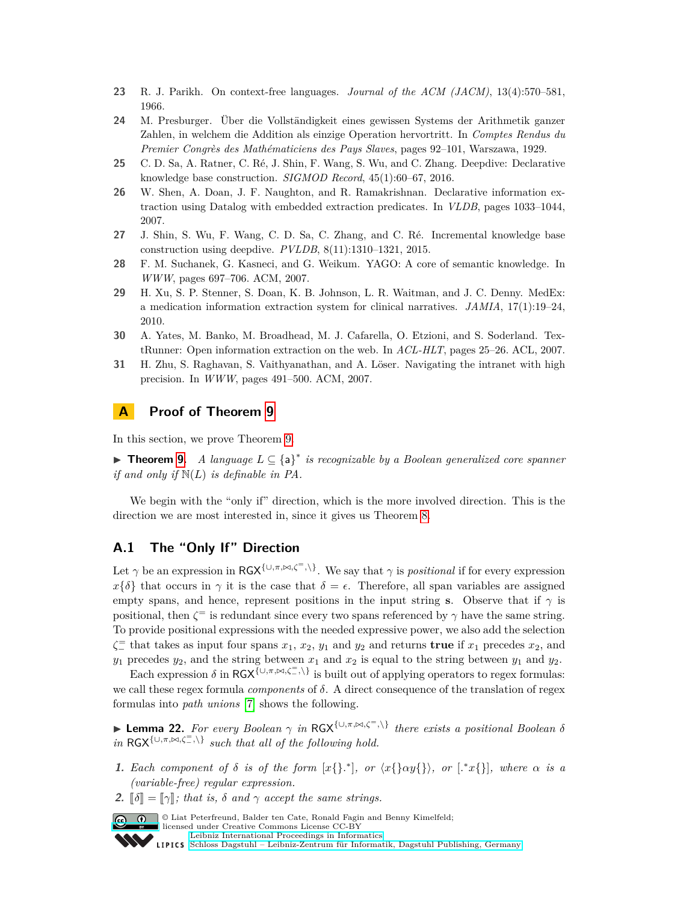- <span id="page-16-9"></span>**23** R. J. Parikh. On context-free languages. *Journal of the ACM (JACM)*, 13(4):570–581, 1966.
- <span id="page-16-7"></span>**24** M. Presburger. Über die Vollständigkeit eines gewissen Systems der Arithmetik ganzer Zahlen, in welchem die Addition als einzige Operation hervortritt. In *Comptes Rendus du Premier Congrès des Mathématiciens des Pays Slaves*, pages 92–101, Warszawa, 1929.
- <span id="page-16-6"></span>**25** C. D. Sa, A. Ratner, C. Ré, J. Shin, F. Wang, S. Wu, and C. Zhang. Deepdive: Declarative knowledge base construction. *SIGMOD Record*, 45(1):60–67, 2016.
- <span id="page-16-5"></span>**26** W. Shen, A. Doan, J. F. Naughton, and R. Ramakrishnan. Declarative information extraction using Datalog with embedded extraction predicates. In *VLDB*, pages 1033–1044, 2007.
- <span id="page-16-2"></span>**27** J. Shin, S. Wu, F. Wang, C. D. Sa, C. Zhang, and C. Ré. Incremental knowledge base construction using deepdive. *PVLDB*, 8(11):1310–1321, 2015.
- <span id="page-16-3"></span>**28** F. M. Suchanek, G. Kasneci, and G. Weikum. YAGO: A core of semantic knowledge. In *WWW*, pages 697–706. ACM, 2007.
- <span id="page-16-0"></span>**29** H. Xu, S. P. Stenner, S. Doan, K. B. Johnson, L. R. Waitman, and J. C. Denny. MedEx: a medication information extraction system for clinical narratives. *JAMIA*, 17(1):19–24, 2010.
- <span id="page-16-4"></span>**30** A. Yates, M. Banko, M. Broadhead, M. J. Cafarella, O. Etzioni, and S. Soderland. TextRunner: Open information extraction on the web. In *ACL-HLT*, pages 25–26. ACL, 2007.
- <span id="page-16-1"></span>**31** H. Zhu, S. Raghavan, S. Vaithyanathan, and A. Löser. Navigating the intranet with high precision. In *WWW*, pages 491–500. ACM, 2007.

## **A Proof of Theorem [9](#page-8-3)**

In this section, we prove Theorem [9.](#page-8-3)

I **Theorem [9.](#page-8-3)** *A language L* ⊆ {a} ∗ *is recognizable by a Boolean generalized core spanner if and only if* N(*L*) *is definable in PA.*

We begin with the "only if" direction, which is the more involved direction. This is the direction we are most interested in, since it gives us Theorem [8.](#page-8-1)

# **A.1 The "Only If" Direction**

Let  $\gamma$  be an expression in RGX<sup>{∪, $\pi$ , $\bowtie$ , $\zeta$ <sup>=</sup>,\}</sup>. We say that  $\gamma$  is *positional* if for every expression  $x\{\delta\}$  that occurs in  $\gamma$  it is the case that  $\delta = \epsilon$ . Therefore, all span variables are assigned empty spans, and hence, represent positions in the input string **s**. Observe that if  $\gamma$  is positional, then  $\zeta^{\pm}$  is redundant since every two spans referenced by  $\gamma$  have the same string. To provide positional expressions with the needed expressive power, we also add the selection  $\zeta \equiv$  that takes as input four spans  $x_1, x_2, y_1$  and  $y_2$  and returns **true** if  $x_1$  precedes  $x_2$ , and  $y_1$  precedes  $y_2$ , and the string between  $x_1$  and  $x_2$  is equal to the string between  $y_1$  and  $y_2$ .

Each expression  $\delta$  in  $RGX^{\{\cup,\pi,\bowtie,\zeta^{\pm},\}}$  is built out of applying operators to regex formulas: we call these regex formula *components* of *δ*. A direct consequence of the translation of regex formulas into *path unions* [\[7\]](#page-15-5) shows the following.

<span id="page-16-8"></span>**► Lemma 22.** *For every Boolean*  $\gamma$  *in* RGX<sup>{∪*,π*, $\bowtie$ *,ζ*<sup>=</sup>*,*\} *there exists a positional Boolean δ*</sup> *in* RGX<sup>{∪, $\pi$ , $\bowtie$ , $\zeta$ <sup>=</sup>, $\backslash$ } *such that all of the following hold.*</sup>

- **1.** Each component of  $\delta$  *is of the form*  $[x]\}$ <sup>\*</sup>, or  $\langle x\{\alpha y\}\rangle$ , or  $\langle x\{\alpha y\}\rangle$ , where  $\alpha$  *is a (variable-free) regular expression.*
- **2.**  $\lbrack \delta \rbrack = \lbrack \lbrack \gamma \rbrack$ *; that is,*  $\delta$  *and*  $\gamma$  *accept the same strings.*



© Liat Peterfreund, Balder ten Cate, Ronald Fagin and Benny Kimelfeld; licensed under Creative Commons License CC-BY [Leibniz International Proceedings in Informatics](http://www.dagstuhl.de/lipics/)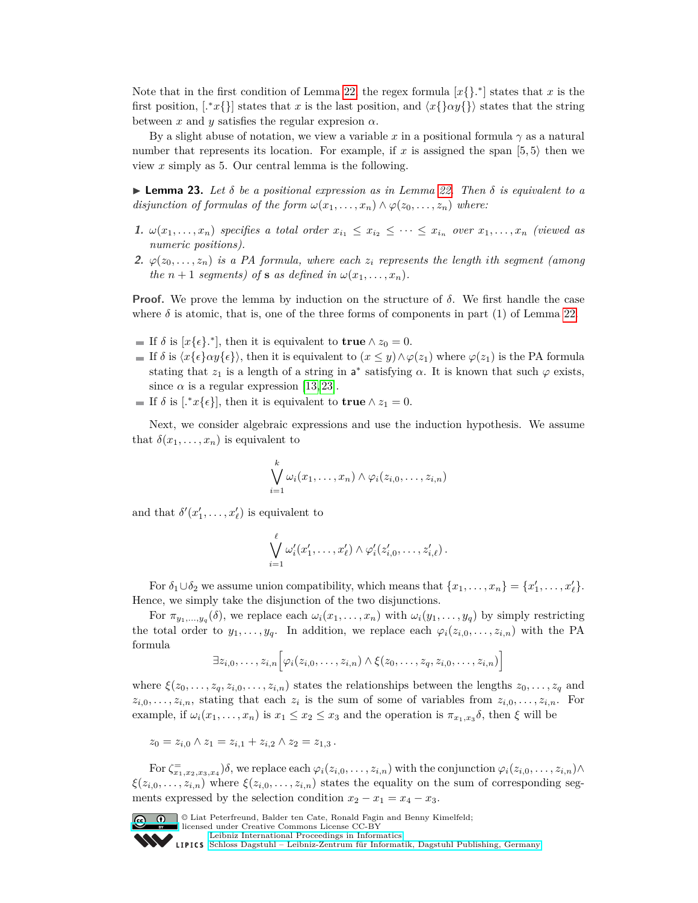Note that in the first condition of Lemma [22,](#page-16-8) the regex formula  $[x]$ <sup>\*</sup> states that *x* is the first position,  $[x \in \{ \} ]$  states that *x* is the last position, and  $\langle x \{ \} \alpha y \{ \} \rangle$  states that the string between  $x$  and  $y$  satisfies the regular expression  $\alpha$ .

By a slight abuse of notation, we view a variable x in a positional formula  $\gamma$  as a natural number that represents its location. For example, if x is assigned the span  $(5,5)$  then we view *x* simply as 5. Our central lemma is the following.

<span id="page-17-0"></span>**Example 23.** Let  $\delta$  be a positional expression as in Lemma [22.](#page-16-8) Then  $\delta$  is equivalent to a *disjunction of formulas of the form*  $\omega(x_1, \ldots, x_n) \wedge \varphi(z_0, \ldots, z_n)$  *where:* 

- 1.  $\omega(x_1,\ldots,x_n)$  specifies a total order  $x_{i_1} \leq x_{i_2} \leq \cdots \leq x_{i_n}$  over  $x_1,\ldots,x_n$  (viewed as *numeric positions).*
- **2.**  $\varphi(z_0, \ldots, z_n)$  *is a PA formula, where each*  $z_i$  *represents the length ith segment (among the*  $n + 1$  *segments)* of **s** *as defined in*  $\omega(x_1, \ldots, x_n)$ *.*

**Proof.** We prove the lemma by induction on the structure of  $\delta$ . We first handle the case where  $\delta$  is atomic, that is, one of the three forms of components in part (1) of Lemma [22.](#page-16-8)

- If  $\delta$  is  $[x{\epsilon}$ <sup>\*</sup>, then it is equivalent to **true**  $\wedge z_0 = 0$ .
- $\blacksquare$  If *δ* is  $\langle x\{\epsilon\}\alpha y\{\epsilon\}\rangle$ , then it is equivalent to  $(x ≤ y) ∧ φ(z_1)$  where  $φ(z_1)$  is the PA formula stating that  $z_1$  is a length of a string in  $a^*$  satisfying  $\alpha$ . It is known that such  $\varphi$  exists, since  $\alpha$  is a regular expression [\[13,](#page-15-20) [23\]](#page-16-9).
- If  $\delta$  is [.<sup>\*</sup> $x\{\epsilon\}$ ], then it is equivalent to **true**  $\wedge z_1 = 0$ .

Next, we consider algebraic expressions and use the induction hypothesis. We assume that  $\delta(x_1, \ldots, x_n)$  is equivalent to

$$
\bigvee_{i=1}^k \omega_i(x_1,\ldots,x_n) \wedge \varphi_i(z_{i,0},\ldots,z_{i,n})
$$

and that  $\delta'(x'_1, \ldots, x'_\ell)$  is equivalent to

$$
\bigvee_{i=1}^{\ell} \omega'_i(x'_1,\ldots,x'_{\ell}) \wedge \varphi'_i(z'_{i,0},\ldots,z'_{i,\ell}).
$$

For  $\delta_1 \cup \delta_2$  we assume union compatibility, which means that  $\{x_1, \ldots, x_n\} = \{x'_1, \ldots, x'_\ell\}.$ Hence, we simply take the disjunction of the two disjunctions.

For  $\pi_{y_1,...,y_q}(\delta)$ , we replace each  $\omega_i(x_1,...,x_n)$  with  $\omega_i(y_1,...,y_q)$  by simply restricting the total order to  $y_1, \ldots, y_q$ . In addition, we replace each  $\varphi_i(z_{i,0}, \ldots, z_{i,n})$  with the PA formula

$$
\exists z_{i,0},\ldots,z_{i,n}\bigg[\varphi_i(z_{i,0},\ldots,z_{i,n})\wedge\xi(z_0,\ldots,z_q,z_{i,0},\ldots,z_{i,n})\bigg]
$$

where  $\xi(z_0,\ldots,z_q,z_{i,0},\ldots,z_{i,n})$  states the relationships between the lengths  $z_0,\ldots,z_q$  and  $z_{i,0}, \ldots, z_{i,n}$ , stating that each  $z_i$  is the sum of some of variables from  $z_{i,0}, \ldots, z_{i,n}$ . For example, if  $\omega_i(x_1, \ldots, x_n)$  is  $x_1 \leq x_2 \leq x_3$  and the operation is  $\pi_{x_1, x_3} \delta$ , then  $\xi$  will be

 $z_0 = z_{i,0} \wedge z_1 = z_{i,1} + z_{i,2} \wedge z_2 = z_{1,3}$ .

For  $\zeta_{x_1,x_2,x_3,x_4}^{\pm}$   $\delta$ , we replace each  $\varphi_i(z_{i,0},\ldots,z_{i,n})$  with the conjunction  $\varphi_i(z_{i,0},\ldots,z_{i,n})$   $\wedge$  $\xi(z_{i,0},\ldots,z_{i,n})$  where  $\xi(z_{i,0},\ldots,z_{i,n})$  states the equality on the sum of corresponding segments expressed by the selection condition  $x_2 - x_1 = x_4 - x_3$ .



© Liat Peterfreund, Balder ten Cate, Ronald Fagin and Benny Kimelfeld; licensed under Creative Commons License CC-BY

[Leibniz International Proceedings in Informatics](http://www.dagstuhl.de/lipics/) [Schloss Dagstuhl – Leibniz-Zentrum für Informatik, Dagstuhl Publishing, Germany](http://www.dagstuhl.de)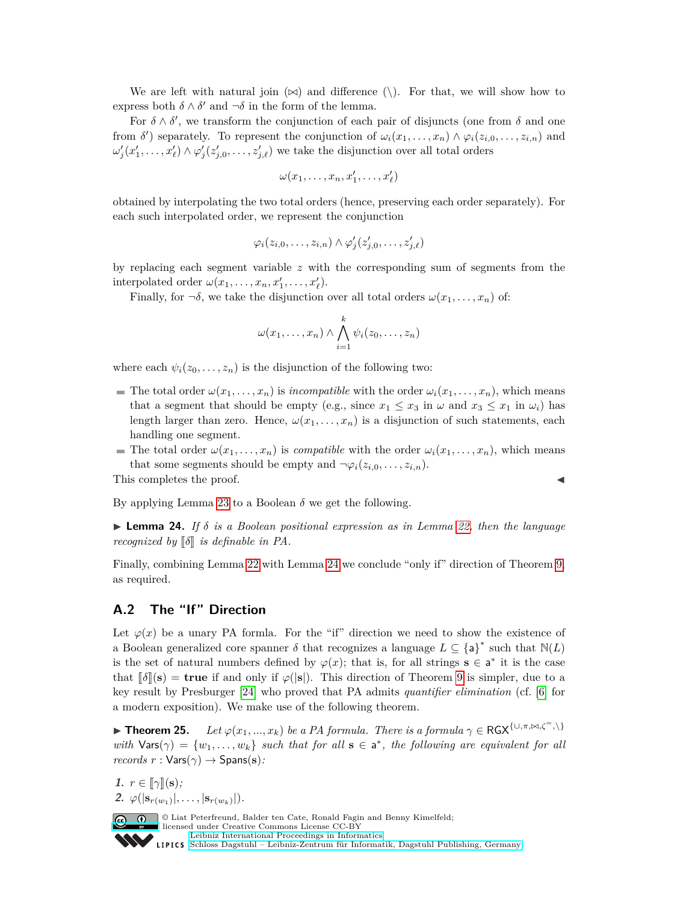We are left with natural join  $(\infty)$  and difference  $(\cdot)$ . For that, we will show how to express both  $\delta \wedge \delta'$  and  $\neg \delta$  in the form of the lemma.

For  $\delta \wedge \delta'$ , we transform the conjunction of each pair of disjuncts (one from  $\delta$  and one from  $\delta'$  separately. To represent the conjunction of  $\omega_i(x_1, \ldots, x_n) \wedge \varphi_i(z_{i,0}, \ldots, z_{i,n})$  and  $\omega'_j(x'_1,\ldots,x'_\ell) \wedge \varphi'_j(z'_{j,0},\ldots,z'_{j,\ell})$  we take the disjunction over all total orders

$$
\omega(x_1,\ldots,x_n,x'_1,\ldots,x'_\ell)
$$

obtained by interpolating the two total orders (hence, preserving each order separately). For each such interpolated order, we represent the conjunction

$$
\varphi_i(z_{i,0},\ldots,z_{i,n})\wedge \varphi'_j(z'_{j,0},\ldots,z'_{j,\ell})
$$

by replacing each segment variable *z* with the corresponding sum of segments from the interpolated order  $\omega(x_1, \ldots, x_n, x'_1, \ldots, x'_\ell)$ .

Finally, for  $\neg \delta$ , we take the disjunction over all total orders  $\omega(x_1, \ldots, x_n)$  of:

$$
\omega(x_1,\ldots,x_n)\wedge\bigwedge_{i=1}^k\psi_i(z_0,\ldots,z_n)
$$

where each  $\psi_i(z_0, \ldots, z_n)$  is the disjunction of the following two:

- The total order  $\omega(x_1, \ldots, x_n)$  is *incompatible* with the order  $\omega_i(x_1, \ldots, x_n)$ , which means that a segment that should be empty (e.g., since  $x_1 \le x_3$  in  $\omega$  and  $x_3 \le x_1$  in  $\omega_i$ ) has length larger than zero. Hence,  $\omega(x_1, \ldots, x_n)$  is a disjunction of such statements, each handling one segment.
- The total order  $\omega(x_1, \ldots, x_n)$  is *compatible* with the order  $\omega_i(x_1, \ldots, x_n)$ , which means that some segments should be empty and  $\neg \varphi_i(z_{i,0}, \ldots, z_{i,n}).$

This completes the proof.

By applying Lemma [23](#page-17-0) to a Boolean  $\delta$  we get the following.

<span id="page-18-0"></span>**Lemma 24.** If  $\delta$  *is a Boolean positional expression as in Lemma [22,](#page-16-8) then the language recognized by*  $\lbrack \delta \rbrack$  *is definable in PA.* 

Finally, combining Lemma [22](#page-16-8) with Lemma [24](#page-18-0) we conclude "only if" direction of Theorem [9,](#page-8-3) as required.

## **A.2 The "If" Direction**

Let  $\varphi(x)$  be a unary PA formla. For the "if" direction we need to show the existence of a Boolean generalized core spanner  $\delta$  that recognizes a language  $L \subseteq {\{\mathsf{a}\}}^*$  such that  $\mathbb{N}(L)$ is the set of natural numbers defined by  $\varphi(x)$ ; that is, for all strings  $\mathbf{s} \in \mathbf{a}^*$  it is the case that  $\lbrack \lbrack \delta \rbrack \rbrack$ (**s**) = **true** if and only if  $\varphi(|\mathbf{s}|)$ . This direction of Theorem [9](#page-8-3) is simpler, due to a key result by Presburger [\[24\]](#page-16-7) who proved that PA admits *quantifier elimination* (cf. [\[6\]](#page-15-21) for a modern exposition). We make use of the following theorem.

<span id="page-18-1"></span>**► Theorem 25.** *Let*  $\varphi(x_1, ..., x_k)$  *be a PA formula. There is a formula*  $\gamma \in \text{RGX}^{\{\cup, \pi, \bowtie, \zeta^=,\}\}$ *with*  $\text{Vars}(\gamma) = \{w_1, \ldots, w_k\}$  *such that for all*  $s \in a^*$ , the following are equivalent for all  $records$   $r : \text{Vars}(\gamma) \rightarrow \text{Spans}(s)$ :

**1.**  $r \in [\![\gamma]\!](\mathbf{s});$ 2.  $\varphi(|s_{r(w_1)}|, \ldots, |s_{r(w_k)}|).$ 

> © Liat Peterfreund, Balder ten Cate, Ronald Fagin and Benny Kimelfeld; licensed under Creative Commons License CC-BY [Leibniz International Proceedings in Informatics](http://www.dagstuhl.de/lipics/) [Schloss Dagstuhl – Leibniz-Zentrum für Informatik, Dagstuhl Publishing, Germany](http://www.dagstuhl.de)

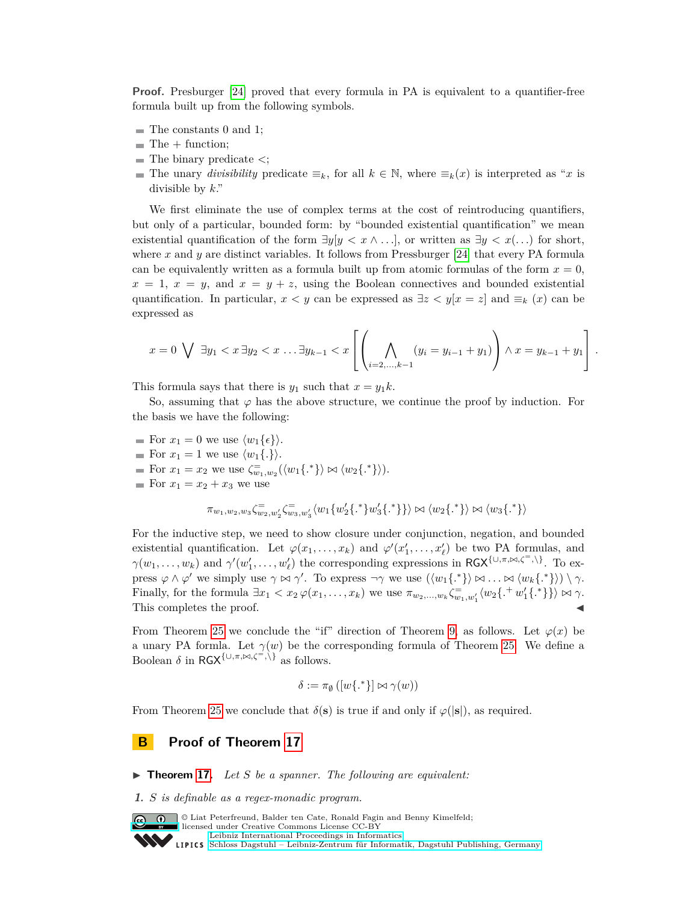**Proof.** Presburger [\[24\]](#page-16-7) proved that every formula in PA is equivalent to a quantifier-free formula built up from the following symbols.

- $\blacksquare$  The constants 0 and 1;
- $\blacksquare$  The  $+$  function;
- The binary predicate *<*;
- The unary *divisibility* predicate  $\equiv_k$ , for all  $k \in \mathbb{N}$ , where  $\equiv_k(x)$  is interpreted as "*x* is divisible by *k*."

We first eliminate the use of complex terms at the cost of reintroducing quantifiers, but only of a particular, bounded form: by "bounded existential quantification" we mean existential quantification of the form  $\exists y \{y \leq x \land \ldots\}$ , or written as  $\exists y \leq x(\ldots)$  for short, where *x* and *y* are distinct variables. It follows from Pressburger [\[24\]](#page-16-7) that every PA formula can be equivalently written as a formula built up from atomic formulas of the form  $x = 0$ ,  $x = 1, x = y$ , and  $x = y + z$ , using the Boolean connectives and bounded existential quantification. In particular,  $x < y$  can be expressed as  $\exists z < y | x = z |$  and  $\equiv_k (x)$  can be expressed as

$$
x = 0 \ \bigvee \ \exists y_1 < x \ \exists y_2 < x \ \ldots \ \exists y_{k-1} < x \left[ \left( \bigwedge_{i=2,\ldots,k-1} (y_i = y_{i-1} + y_1) \right) \wedge x = y_{k-1} + y_1 \right].
$$

This formula says that there is  $y_1$  such that  $x = y_1 k$ .

So, assuming that  $\varphi$  has the above structure, we continue the proof by induction. For the basis we have the following:

For  $x_1 = 0$  we use  $\langle w_1 \{\epsilon\} \rangle$ . For  $x_1 = 1$  we use  $\langle w_1 \{\cdot\} \rangle$ . For  $x_1 = x_2$  we use  $\zeta_{w_1,w_2}^{\equiv}(\langle w_1\{\cdot^*\}\rangle \bowtie \langle w_2\{\cdot^*\}\rangle).$ For  $x_1 = x_2 + x_3$  we use

$$
\pi_{w_1,w_2,w_3}\zeta_{w_2,w_2}^{\equiv} \zeta_{w_3,w_3}^{\equiv}\langle w_1\{w_2'\{.\text{ }^*\}w_3'\{.\text{ }^*\}\rangle \bowtie \langle w_2\{.\text{ }^*\}\rangle \bowtie \langle w_3\{.\text{ }^*\}\rangle
$$

For the inductive step, we need to show closure under conjunction, negation, and bounded existential quantification. Let  $\varphi(x_1, \ldots, x_k)$  and  $\varphi'(x'_1, \ldots, x'_\ell)$  be two PA formulas, and  $\gamma(w_1,\ldots,w_k)$  and  $\gamma'(w'_1,\ldots,w'_\ell)$  the corresponding expressions in RGX<sup>{∪*,π*, $\Join$ , $\zeta^=$ ,\}</sup>. To express  $\varphi \wedge \varphi'$  we simply use  $\gamma \bowtie \gamma'$ . To express  $\neg \gamma$  we use  $(\langle w_1\{.\ast\}\rangle \bowtie \ldots \bowtie \langle w_k\{.\ast\}\rangle) \setminus \gamma$ . Finally, for the formula  $\exists x_1 < x_2 \varphi(x_1,\ldots,x_k)$  we use  $\pi_{w_2,\ldots,w_k} \zeta_{w_1,w'_1}^{\equiv} \langle w_2 \{.\n\{\cdot^+ w'_1 \{\cdot^*\}\}\rangle \bowtie \gamma$ . This completes the proof.

From Theorem [25](#page-18-1) we conclude the "if" direction of Theorem [9,](#page-8-3) as follows. Let  $\varphi(x)$  be a unary PA formla. Let  $\gamma(w)$  be the corresponding formula of Theorem [25.](#page-18-1) We define a Boolean  $\delta$  in RGX<sup>{∪, $\pi$ , $\bowtie$ , $\zeta^{\pm}$ ,\} as follows.</sup>

$$
\delta:=\pi_{\emptyset}\left([w\{.\text{ }^*\}]\bowtie \gamma(w)\right)
$$

From Theorem [25](#page-18-1) we conclude that  $\delta(\mathbf{s})$  is true if and only if  $\varphi(|\mathbf{s}|)$ , as required.

#### **B Proof of Theorem [17](#page-11-1)**

▶ **Theorem [17.](#page-11-1)** *Let S be a spanner. The following are equivalent:* 

**1.** *S is definable as a regex-monadic program.*

**C**  $\bullet$  U Liat Peterfreund, Balder ten Cate, Ronald Fagin and Benny Kimelfeld; licensed under Creative Commons License CC-BY [Leibniz International Proceedings in Informatics](http://www.dagstuhl.de/lipics/) [Schloss Dagstuhl – Leibniz-Zentrum für Informatik, Dagstuhl Publishing, Germany](http://www.dagstuhl.de)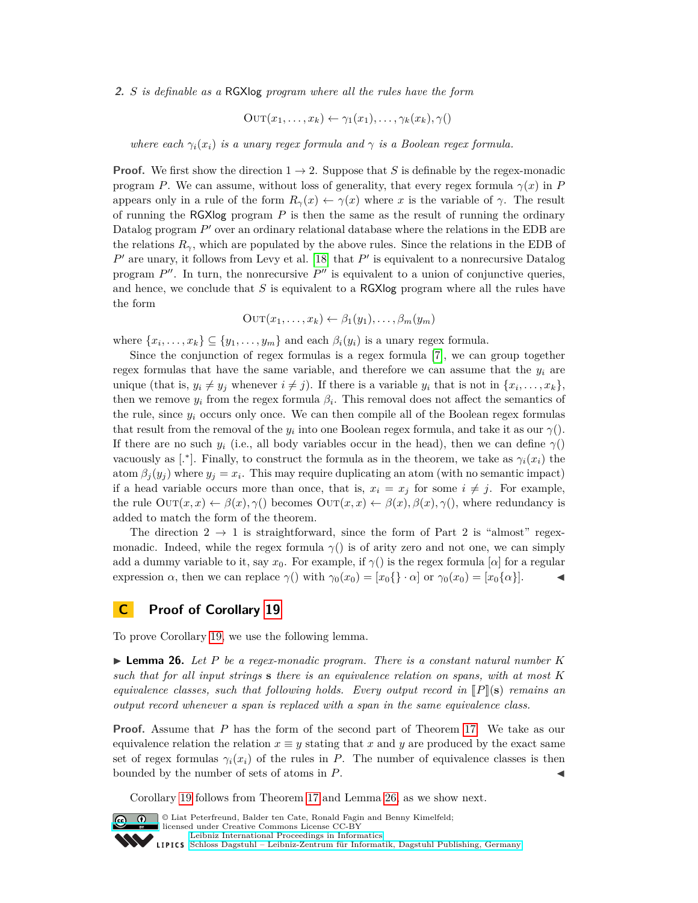**2.** *S is definable as a* RGXlog *program where all the rules have the form*

$$
OUT(x_1, \ldots, x_k) \leftarrow \gamma_1(x_1), \ldots, \gamma_k(x_k), \gamma()
$$

*where each*  $\gamma_i(x_i)$  *is a unary regex formula and*  $\gamma$  *is a Boolean regex formula.* 

**Proof.** We first show the direction  $1 \rightarrow 2$ . Suppose that *S* is definable by the regex-monadic program *P*. We can assume, without loss of generality, that every regex formula  $\gamma(x)$  in *P* appears only in a rule of the form  $R_\gamma(x) \leftarrow \gamma(x)$  where *x* is the variable of  $\gamma$ . The result of running the RGXlog program *P* is then the same as the result of running the ordinary Datalog program P' over an ordinary relational database where the relations in the EDB are the relations  $R_{\gamma}$ , which are populated by the above rules. Since the relations in the EDB of  $P'$  are unary, it follows from Levy et al. [\[18\]](#page-15-19) that  $P'$  is equivalent to a nonrecursive Datalog program  $P''$ . In turn, the nonrecursive  $P''$  is equivalent to a union of conjunctive queries, and hence, we conclude that *S* is equivalent to a RGXlog program where all the rules have the form

$$
OUT(x_1,...,x_k) \leftarrow \beta_1(y_1),..., \beta_m(y_m)
$$

where  $\{x_1, \ldots, x_k\} \subseteq \{y_1, \ldots, y_m\}$  and each  $\beta_i(y_i)$  is a unary regex formula.

Since the conjunction of regex formulas is a regex formula [\[7\]](#page-15-5), we can group together regex formulas that have the same variable, and therefore we can assume that the  $y_i$  are unique (that is,  $y_i \neq y_j$  whenever  $i \neq j$ ). If there is a variable  $y_i$  that is not in  $\{x_i, \ldots, x_k\}$ , then we remove  $y_i$  from the regex formula  $\beta_i$ . This removal does not affect the semantics of the rule, since  $y_i$  occurs only once. We can then compile all of the Boolean regex formulas that result from the removal of the  $y_i$  into one Boolean regex formula, and take it as our  $\gamma()$ . If there are no such  $y_i$  (i.e., all body variables occur in the head), then we can define  $\gamma$ () vacuously as [<sup>\*</sup>]. Finally, to construct the formula as in the theorem, we take as  $\gamma_i(x_i)$  the atom  $\beta_j(y_j)$  where  $y_j = x_i$ . This may require duplicating an atom (with no semantic impact) if a head variable occurs more than once, that is,  $x_i = x_j$  for some  $i \neq j$ . For example, the rule  $\text{OUT}(x, x) \leftarrow \beta(x), \gamma($  becomes  $\text{OUT}(x, x) \leftarrow \beta(x), \beta(x), \gamma($ , where redundancy is added to match the form of the theorem.

The direction  $2 \rightarrow 1$  is straightforward, since the form of Part 2 is "almost" regexmonadic. Indeed, while the regex formula  $\gamma$ () is of arity zero and not one, we can simply add a dummy variable to it, say  $x_0$ . For example, if  $\gamma$ () is the regex formula [*α*] for a regular expression *α*, then we can replace  $\gamma$  () with  $\gamma_0(x_0) = [x_0 \{\}\cdot \alpha]$  or  $\gamma_0(x_0) = [x_0 \{\alpha\}].$ 

#### **C Proof of Corollary [19](#page-11-2)**

To prove Corollary [19,](#page-11-2) we use the following lemma.

<span id="page-20-0"></span> $\blacktriangleright$  **Lemma 26.** Let P be a regex-monadic program. There is a constant natural number K *such that for all input strings* **s** *there is an equivalence relation on spans, with at most K equivalence classes, such that following holds. Every output record in*  $\llbracket P \rrbracket(\mathbf{s})$  *remains an output record whenever a span is replaced with a span in the same equivalence class.*

**Proof.** Assume that *P* has the form of the second part of Theorem [17.](#page-11-1) We take as our equivalence relation the relation  $x \equiv y$  stating that *x* and *y* are produced by the exact same set of regex formulas  $\gamma_i(x_i)$  of the rules in *P*. The number of equivalence classes is then bounded by the number of sets of atoms in *P*.

Corollary [19](#page-11-2) follows from Theorem [17](#page-11-1) and Lemma [26,](#page-20-0) as we show next.



© Liat Peterfreund, Balder ten Cate, Ronald Fagin and Benny Kimelfeld; licensed under Creative Commons License CC-BY [Leibniz International Proceedings in Informatics](http://www.dagstuhl.de/lipics/) [Schloss Dagstuhl – Leibniz-Zentrum für Informatik, Dagstuhl Publishing, Germany](http://www.dagstuhl.de)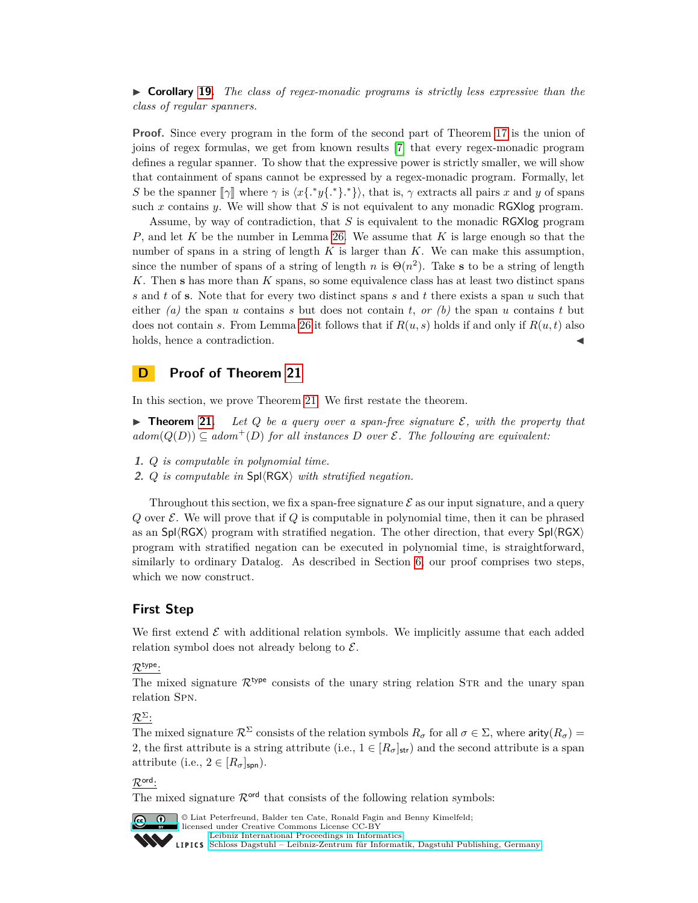► **Corollary [19.](#page-11-2)** *The class of regex-monadic programs is strictly less expressive than the class of regular spanners.*

**Proof.** Since every program in the form of the second part of Theorem [17](#page-11-1) is the union of joins of regex formulas, we get from known results [\[7\]](#page-15-5) that every regex-monadic program defines a regular spanner. To show that the expressive power is strictly smaller, we will show that containment of spans cannot be expressed by a regex-monadic program. Formally, let *S* be the spanner  $\llbracket \gamma \rrbracket$  where  $\gamma$  is  $\langle x \{.^*y \}.^* \rangle$ , that is,  $\gamma$  extracts all pairs *x* and *y* of spans such x contains y. We will show that S is not equivalent to any monadic RGXlog program.

Assume, by way of contradiction, that *S* is equivalent to the monadic RGXlog program *P*, and let *K* be the number in Lemma [26.](#page-20-0) We assume that *K* is large enough so that the number of spans in a string of length *K* is larger than *K*. We can make this assumption, since the number of spans of a string of length *n* is  $\Theta(n^2)$ . Take **s** to be a string of length *K*. Then **s** has more than *K* spans, so some equivalence class has at least two distinct spans *s* and *t* of **s**. Note that for every two distinct spans *s* and *t* there exists a span *u* such that either *(a)* the span *u* contains *s* but does not contain *t*, *or (b)* the span *u* contains *t* but does not contain *s*. From Lemma [26](#page-20-0) it follows that if  $R(u, s)$  holds if and only if  $R(u, t)$  also holds, hence a contradiction.

## **D Proof of Theorem [21](#page-13-2)**

In this section, we prove Theorem [21.](#page-13-2) We first restate the theorem.

**Figure 12.** Let  $Q$  be a query over a span-free signature  $\mathcal{E}$ , with the property that  $\mathcal{A}$  *adom* $(Q(D)) \subseteq \mathcal{A}$ *dom*<sup>+</sup> $(D)$  *for all instances*  $D$  *over*  $\mathcal{E}$ *. The following are equivalent:* 

- **1.** *Q is computable in polynomial time.*
- **2.** *Q is computable in* Spl $\langle$ RGX $\rangle$  *with stratified negation.*

Throughout this section, we fix a span-free signature  $\mathcal E$  as our input signature, and a query  $Q$  over  $\mathcal E$ . We will prove that if  $Q$  is computable in polynomial time, then it can be phrased as an  $Spl\langle RGX\rangle$  program with stratified negation. The other direction, that every  $Spl\langle RGX\rangle$ program with stratified negation can be executed in polynomial time, is straightforward, similarly to ordinary Datalog. As described in Section [6,](#page-11-0) our proof comprises two steps, which we now construct.

#### **First Step**

We first extend  $\mathcal E$  with additional relation symbols. We implicitly assume that each added relation symbol does not already belong to  $\mathcal{E}$ .

#### $\mathcal{R}^{\text{type}}$ :

The mixed signature  $\mathcal{R}^{\text{type}}$  consists of the unary string relation STR and the unary span relation Spn.

 $\mathcal{R}^{\Sigma}$ :

The mixed signature  $\mathcal{R}^{\Sigma}$  consists of the relation symbols  $R_{\sigma}$  for all  $\sigma \in \Sigma$ , where arity( $R_{\sigma}$ ) = 2, the first attribute is a string attribute (i.e.,  $1 \in [R_{\sigma}]_{str}$ ) and the second attribute is a span attribute (i.e.,  $2 \in [R_{\sigma}]_{\text{spn}}$ ).

# $\mathcal{R}^{\text{ord}}$ .

The mixed signature  $\mathcal{R}^{\text{ord}}$  that consists of the following relation symbols:



**C U**  $\bullet$  Liat Peterfreund, Balder ten Cate, Ronald Fagin and Benny Kimelfeld: licensed under Creative Commons License CC-BY [Leibniz International Proceedings in Informatics](http://www.dagstuhl.de/lipics/) [Schloss Dagstuhl – Leibniz-Zentrum für Informatik, Dagstuhl Publishing, Germany](http://www.dagstuhl.de)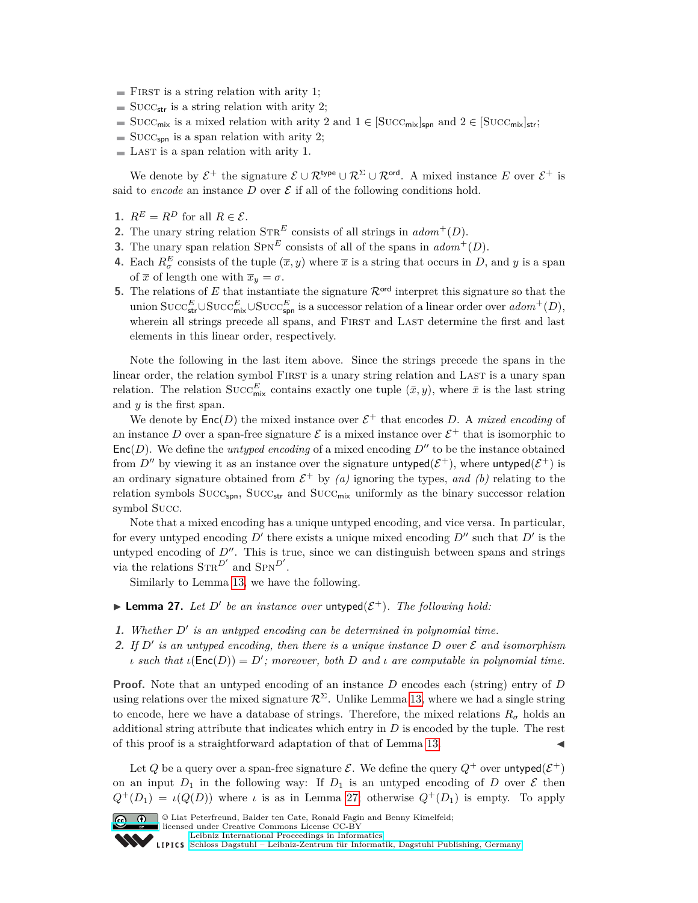- $\blacksquare$  FIRST is a string relation with arity 1;
- $\blacksquare$  SUCC<sub>str</sub> is a string relation with arity 2;
- SUCC<sub>mix</sub> is a mixed relation with arity 2 and  $1 \in [\text{Succ}_{\text{mix}}]_{\text{spn}}$  and  $2 \in [\text{Succ}_{\text{mix}}]_{\text{str}}$ ;
- $\blacksquare$  Succ<sub>spn</sub> is a span relation with arity 2;
- $\blacksquare$  LAST is a span relation with arity 1.

We denote by  $\mathcal{E}^+$  the signature  $\mathcal{E} \cup \mathcal{R}^{\text{type}} \cup \mathcal{R}^{\Sigma} \cup \mathcal{R}^{\text{ord}}$ . A mixed instance E over  $\mathcal{E}^+$  is said to *encode* an instance  $D$  over  $\mathcal E$  if all of the following conditions hold.

- **1.**  $R^E = R^D$  for all  $R \in \mathcal{E}$ .
- **2.** The unary string relation  $\text{STR}^E$  consists of all strings in  $adom^+(D)$ .
- **3.** The unary span relation  $SPN^E$  consists of all of the spans in  $adom^+(D)$ .
- **4.** Each  $R^E_{\sigma}$  consists of the tuple  $(\overline{x}, y)$  where  $\overline{x}$  is a string that occurs in *D*, and *y* is a span of  $\bar{x}$  of length one with  $\bar{x}_y = \sigma$ .
- **5.** The relations of *E* that instantiate the signature  $\mathcal{R}^{\text{ord}}$  interpret this signature so that the union SUCC<sup>E</sup><sub>str</sub>∪SUCC<sup>E</sup><sub>nix</sub>∪SUCC<sub>spn</sub> is a successor relation of a linear order over  $adom^+(D)$ , wherein all strings precede all spans, and First and Last determine the first and last elements in this linear order, respectively.

Note the following in the last item above. Since the strings precede the spans in the linear order, the relation symbol FIRST is a unary string relation and LAST is a unary span relation. The relation  $Succ^E_{\text{mix}}$  contains exactly one tuple  $(\bar{x}, y)$ , where  $\bar{x}$  is the last string and *y* is the first span.

We denote by  $Enc(D)$  the mixed instance over  $\mathcal{E}^+$  that encodes D. A *mixed encoding* of an instance D over a span-free signature  $\mathcal E$  is a mixed instance over  $\mathcal E^+$  that is isomorphic to  $Enc(D)$ . We define the *untyped encoding* of a mixed encoding  $D''$  to be the instance obtained from  $D''$  by viewing it as an instance over the signature untyped $(\mathcal{E}^+)$ , where untyped $(\mathcal{E}^+)$  is an ordinary signature obtained from  $\mathcal{E}^+$  by *(a)* ignoring the types, and *(b)* relating to the relation symbols  $Succ_{\textsf{spn}}$ ,  $Succ_{\textsf{str}}$  and  $Succ_{\textsf{mix}}$  uniformly as the binary successor relation symbol Succ.

Note that a mixed encoding has a unique untyped encoding, and vice versa. In particular, for every untyped encoding  $D'$  there exists a unique mixed encoding  $D''$  such that  $D'$  is the untyped encoding of  $D''$ . This is true, since we can distinguish between spans and strings via the relations  $\text{STR}^{D'}$  and  $\text{SPN}^{D'}$ .

Similarly to Lemma [13,](#page-10-0) we have the following.

- <span id="page-22-0"></span>**Lemma 27.** Let D' be an instance over untyped( $\mathcal{E}^+$ ). The following hold:
- **1.** Whether  $D'$  is an untyped encoding can be determined in polynomial time.
- **2.** If  $D'$  is an untyped encoding, then there is a unique instance  $D$  over  $\mathcal E$  and isomorphism *ι such that*  $\iota(\text{Enc}(D)) = D'$ ; *moreover, both D and ι are computable in polynomial time.*

**Proof.** Note that an untyped encoding of an instance *D* encodes each (string) entry of *D* using relations over the mixed signature  $\mathcal{R}^{\Sigma}$ . Unlike Lemma [13,](#page-10-0) where we had a single string to encode, here we have a database of strings. Therefore, the mixed relations  $R_{\sigma}$  holds an additional string attribute that indicates which entry in *D* is encoded by the tuple. The rest of this proof is a straightforward adaptation of that of Lemma [13.](#page-10-0)

Let Q be a query over a span-free signature  $\mathcal{E}$ . We define the query  $Q^+$  over untyped $(\mathcal{E}^+)$ on an input  $D_1$  in the following way: If  $D_1$  is an untyped encoding of  $D$  over  $\mathcal E$  then  $Q^+(D_1) = \iota(Q(D))$  where *ι* is as in Lemma [27;](#page-22-0) otherwise  $Q^+(D_1)$  is empty. To apply



<sup>©</sup> Liat Peterfreund, Balder ten Cate, Ronald Fagin and Benny Kimelfeld; licensed under Creative Commons License CC-BY

[Leibniz International Proceedings in Informatics](http://www.dagstuhl.de/lipics/) [Schloss Dagstuhl – Leibniz-Zentrum für Informatik, Dagstuhl Publishing, Germany](http://www.dagstuhl.de)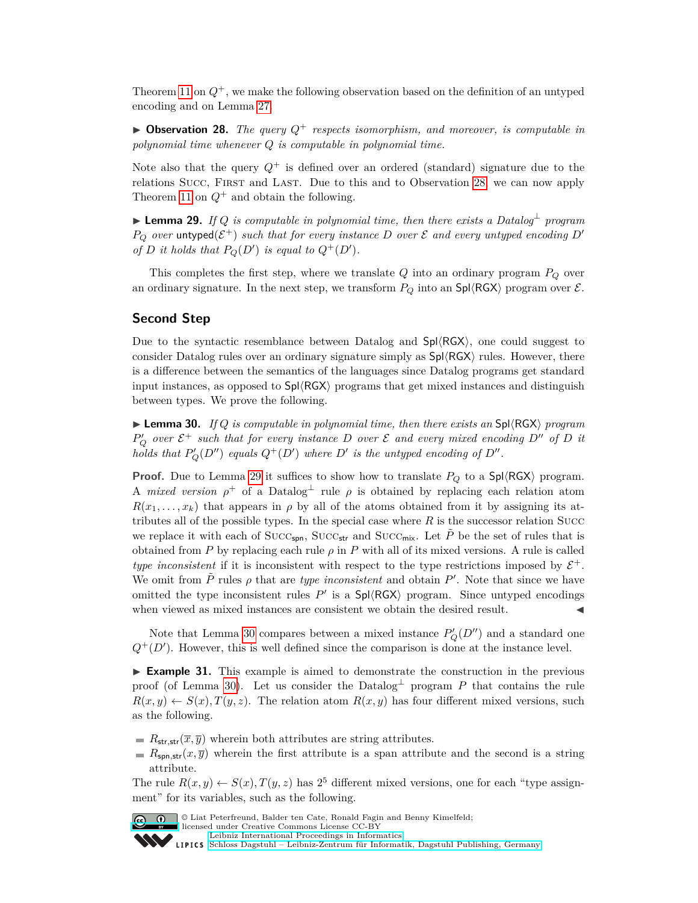Theorem [11](#page-9-1) on  $Q^+$ , we make the following observation based on the definition of an untyped encoding and on Lemma [27.](#page-22-0)

<span id="page-23-0"></span> $\triangleright$  **Observation 28.** *The query*  $Q^+$  *respects isomorphism, and moreover, is computable in polynomial time whenever Q is computable in polynomial time.*

Note also that the query  $Q^+$  is defined over an ordered (standard) signature due to the relations Succ, First and Last. Due to this and to Observation [28,](#page-23-0) we can now apply Theorem [11](#page-9-1) on  $Q^+$  and obtain the following.

<span id="page-23-1"></span>I **Lemma 29.** *If Q is computable in polynomial time, then there exists a Datalog*<sup>⊥</sup> *program*  $P_Q$  *over* untyped( $\mathcal{E}^+$ ) *such that for every instance D over*  $\mathcal E$  *and every untyped encoding*  $D'$ *of D it holds that*  $P_Q(D')$  *is equal to*  $Q^+(D')$ *.* 

This completes the first step, where we translate *Q* into an ordinary program *P<sup>Q</sup>* over an ordinary signature. In the next step, we transform  $P_Q$  into an  $\text{Spl}\langle\text{RGX}\rangle$  program over  $\mathcal{E}$ .

#### **Second Step**

Due to the syntactic resemblance between Datalog and  $Spl\langle RGX\rangle$ , one could suggest to consider Datalog rules over an ordinary signature simply as  $\text{Spl}\langle \text{RGX}\rangle$  rules. However, there is a difference between the semantics of the languages since Datalog programs get standard input instances, as opposed to  $Spl\langle RGX\rangle$  programs that get mixed instances and distinguish between types. We prove the following.

<span id="page-23-2"></span>**I Lemma 30.** If Q is computable in polynomial time, then there exists an Spl $\langle \text{RGX} \rangle$  program  $P'_Q$  *over*  $\mathcal{E}^+$  *such that for every instance D over*  $\mathcal E$  *and every mixed encoding*  $D''$  *of*  $D$  *it holds that*  $P'_{Q}(D'')$  *equals*  $Q^+(D')$  *where*  $D'$  *is the untyped encoding of*  $D''$ *.* 

**Proof.** Due to Lemma [29](#page-23-1) it suffices to show how to translate  $P_Q$  to a Spl $\langle \text{RGX} \rangle$  program. A *mixed version*  $\rho^+$  of a Datalog<sup> $\perp$ </sup> rule  $\rho$  is obtained by replacing each relation atom  $R(x_1, \ldots, x_k)$  that appears in *ρ* by all of the atoms obtained from it by assigning its attributes all of the possible types. In the special case where  $R$  is the successor relation Succ we replace it with each of  $Succ_{\textsf{spn}}$ ,  $Succ_{\textsf{str}}$  and  $Succ_{\textsf{mix}}$ . Let  $\tilde{P}$  be the set of rules that is obtained from  $P$  by replacing each rule  $\rho$  in  $P$  with all of its mixed versions. A rule is called *type inconsistent* if it is inconsistent with respect to the type restrictions imposed by  $\mathcal{E}^+$ . We omit from  $\tilde{P}$  rules  $\rho$  that are *type inconsistent* and obtain  $P'$ . Note that since we have omitted the type inconsistent rules  $P'$  is a  $\text{Spl}\langle \text{RGX}\rangle$  program. Since untyped encodings when viewed as mixed instances are consistent we obtain the desired result.

Note that Lemma [30](#page-23-2) compares between a mixed instance  $P'_{Q}(D'')$  and a standard one  $Q^+(D')$ . However, this is well defined since the comparison is done at the instance level.

► **Example 31.** This example is aimed to demonstrate the construction in the previous proof (of Lemma [30\)](#page-23-2). Let us consider the Datalog<sup>⊥</sup> program  $P$  that contains the rule  $R(x, y) \leftarrow S(x), T(y, z)$ . The relation atom  $R(x, y)$  has four different mixed versions, such as the following.

- $R_{str,str}(\overline{x}, \overline{y})$  wherein both attributes are string attributes.
- $R_{\text{spn,str}}(x,\overline{y})$  wherein the first attribute is a span attribute and the second is a string attribute.

The rule  $R(x, y) \leftarrow S(x), T(y, z)$  has  $2<sup>5</sup>$  different mixed versions, one for each "type assignment" for its variables, such as the following.



© Liat Peterfreund, Balder ten Cate, Ronald Fagin and Benny Kimelfeld;

licensed under Creative Commons License CC-BY

[Leibniz International Proceedings in Informatics](http://www.dagstuhl.de/lipics/) [Schloss Dagstuhl – Leibniz-Zentrum für Informatik, Dagstuhl Publishing, Germany](http://www.dagstuhl.de)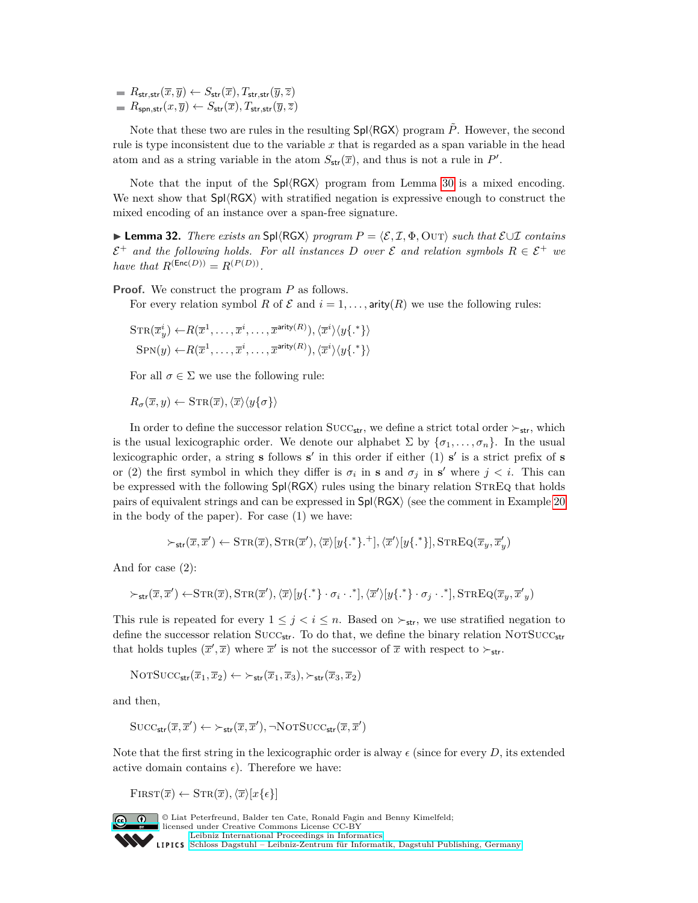$R_{\mathsf{str},\mathsf{str}}(\overline{x},\overline{y}) \leftarrow S_{\mathsf{str}}(\overline{x}), T_{\mathsf{str},\mathsf{str}}(\overline{y},\overline{z})$  $R_{\text{spn},\text{str}}(x,\overline{y}) \leftarrow S_{\text{str}}(\overline{x}), T_{\text{str},\text{str}}(\overline{y},\overline{z})$ 

Note that these two are rules in the resulting  $\text{Spl}\langle\text{RGX}\rangle$  program  $\tilde{P}$ . However, the second rule is type inconsistent due to the variable *x* that is regarded as a span variable in the head atom and as a string variable in the atom  $S_{str}(\overline{x})$ , and thus is not a rule in P'.

Note that the input of the  $Spl\langle RGX\rangle$  program from Lemma [30](#page-23-2) is a mixed encoding. We next show that  $Spl\langle RGX\rangle$  with stratified negation is expressive enough to construct the mixed encoding of an instance over a span-free signature.

<span id="page-24-0"></span>**► Lemma 32.** *There exists an* Spl $\langle$ RGX $\rangle$  *program*  $P = \langle \mathcal{E}, \mathcal{I}, \Phi, \text{OUT} \rangle$  *such that*  $\mathcal{E} \cup \mathcal{I}$  *contains*  $\mathcal{E}^+$  *and the following holds. For all instances D over*  $\mathcal{E}$  *and relation symbols*  $R \in \mathcal{E}^+$  *we have that*  $R^{(\text{Enc}(D))} = R^{(P(D))}$ .

**Proof.** We construct the program *P* as follows.

For every relation symbol *R* of  $\mathcal E$  and  $i = 1, \ldots$ , arity(*R*) we use the following rules:

$$
STR(\overline{x}_{y}^{i}) \leftarrow R(\overline{x}^{1}, \dots, \overline{x}^{i}, \dots, \overline{x}^{arity(R)}), \langle \overline{x}^{i} \rangle \langle y \{.\} \rangle
$$
  
\n
$$
SPN(y) \leftarrow R(\overline{x}^{1}, \dots, \overline{x}^{i}, \dots, \overline{x}^{arity(R)}), \langle \overline{x}^{i} \rangle \langle y \{.\} \rangle
$$

For all  $\sigma \in \Sigma$  we use the following rule:

 $R_{\sigma}(\overline{x}, y) \leftarrow \text{STR}(\overline{x}), \langle \overline{x} \rangle \langle y \{\sigma\} \rangle$ 

In order to define the successor relation SUCC<sub>str</sub>, we define a strict total order  $\succ_{str}$ , which is the usual lexicographic order. We denote our alphabet  $\Sigma$  by  $\{\sigma_1, \ldots, \sigma_n\}$ . In the usual lexicographic order, a string **s** follows **s'** in this order if either (1) **s'** is a strict prefix of **s** or (2) the first symbol in which they differ is  $\sigma_i$  in **s** and  $\sigma_j$  in **s**' where  $j < i$ . This can be expressed with the following  $Sp(\sqrt{R}GX)$  rules using the binary relation  $STREQ$  that holds pairs of equivalent strings and can be expressed in  $\text{Spl}(\text{RGX})$  (see the comment in Example [20](#page-13-0) in the body of the paper). For case (1) we have:

$$
\succ_{\mathsf{str}}(\overline{x},\overline{x}') \leftarrow \mathrm{STR}(\overline{x}), \mathrm{STR}(\overline{x}'), \langle \overline{x} \rangle [y\{\cdot^*\}.\cdot^+], \langle \overline{x}' \rangle [y\{\cdot^*\}], \mathrm{STREQ}(\overline{x}_y,\overline{x}'_y)
$$

And for case (2):

$$
\succ_{\mathsf{str}}(\overline{x}, \overline{x}') \leftarrow \text{STR}(\overline{x}), \text{STR}(\overline{x}'), \langle \overline{x} \rangle [y\{\cdot^*\} \cdot \sigma_i \cdot \cdot^*], \langle \overline{x}' \rangle [y\{\cdot^*\} \cdot \sigma_j \cdot \cdot^*], \text{STREQ}(\overline{x}_y, \overline{x}'_y)
$$

This rule is repeated for every  $1 \leq j \leq i \leq n$ . Based on  $\succ_{str}$ , we use stratified negation to define the successor relation  $Succ_{str}$ . To do that, we define the binary relation NOTSUCC<sub>str</sub> that holds tuples  $(\bar{x}', \bar{x})$  where  $\bar{x}'$  is not the successor of  $\bar{x}$  with respect to  $\succ_{str}$ .

$$
\mathrm{NOTSUCC}_{\sf str}(\overline{x}_1,\overline{x}_2) \leftarrow \succ_{\sf str}(\overline{x}_1,\overline{x}_3), \succ_{\sf str}(\overline{x}_3,\overline{x}_2)
$$

and then,

$$
\mathrm{Succ}_{\mathsf{str}}(\overline{x}, \overline{x}') \leftarrow \succ_{\mathsf{str}}(\overline{x}, \overline{x}'), \neg \mathrm{NOTSucc}_{\mathsf{str}}(\overline{x}, \overline{x}')
$$

Note that the first string in the lexicographic order is alway  $\epsilon$  (since for every *D*, its extended active domain contains  $\epsilon$ ). Therefore we have:

 $\text{FIRST}(\overline{x}) \leftarrow \text{STR}(\overline{x}), \langle \overline{x} \rangle[x\{\epsilon\}]$ 



© Liat Peterfreund, Balder ten Cate, Ronald Fagin and Benny Kimelfeld; licensed under Creative Commons License CC-BY [Leibniz International Proceedings in Informatics](http://www.dagstuhl.de/lipics/) [Schloss Dagstuhl – Leibniz-Zentrum für Informatik, Dagstuhl Publishing, Germany](http://www.dagstuhl.de)